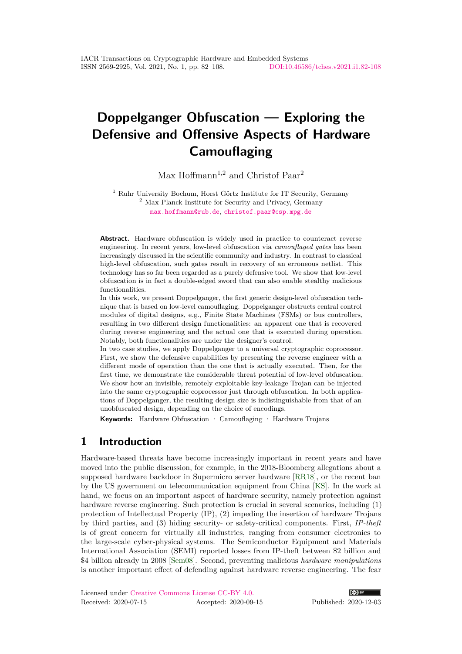# **Doppelganger Obfuscation — Exploring the Defensive and Offensive Aspects of Hardware Camouflaging**

Max Hoffmann<sup>1,2</sup> and Christof Paar<sup>2</sup>

<sup>1</sup> Ruhr University Bochum, Horst Görtz Institute for IT Security, Germany <sup>2</sup> Max Planck Institute for Security and Privacy, Germany [max.hoffmann@rub.de](mailto:max.hoffmann@rub.de), [christof.paar@csp.mpg.de](mailto:christof.paar@csp.mpg.de)

Abstract. Hardware obfuscation is widely used in practice to counteract reverse engineering. In recent years, low-level obfuscation via *camouflaged gates* has been increasingly discussed in the scientific community and industry. In contrast to classical high-level obfuscation, such gates result in recovery of an erroneous netlist. This technology has so far been regarded as a purely defensive tool. We show that low-level obfuscation is in fact a double-edged sword that can also enable stealthy malicious functionalities.

In this work, we present Doppelganger, the first generic design-level obfuscation technique that is based on low-level camouflaging. Doppelganger obstructs central control modules of digital designs, e.g., Finite State Machines (FSMs) or bus controllers, resulting in two different design functionalities: an apparent one that is recovered during reverse engineering and the actual one that is executed during operation. Notably, both functionalities are under the designer's control.

In two case studies, we apply Doppelganger to a universal cryptographic coprocessor. First, we show the defensive capabilities by presenting the reverse engineer with a different mode of operation than the one that is actually executed. Then, for the first time, we demonstrate the considerable threat potential of low-level obfuscation. We show how an invisible, remotely exploitable key-leakage Trojan can be injected into the same cryptographic coprocessor just through obfuscation. In both applications of Doppelganger, the resulting design size is indistinguishable from that of an unobfuscated design, depending on the choice of encodings.

**Keywords:** Hardware Obfuscation · Camouflaging · Hardware Trojans

# <span id="page-0-0"></span>**1 Introduction**

Hardware-based threats have become increasingly important in recent years and have moved into the public discussion, for example, in the 2018-Bloomberg allegations about a supposed hardware backdoor in Supermicro server hardware [\[RR18\]](#page-23-0), or the recent ban by the US government on telecommunication equipment from China [\[KS\]](#page-22-0). In the work at hand, we focus on an important aspect of hardware security, namely protection against hardware reverse engineering. Such protection is crucial in several scenarios, including (1) protection of Intellectual Property (IP), (2) impeding the insertion of hardware Trojans by third parties, and (3) hiding security- or safety-critical components. First, *IP-theft* is of great concern for virtually all industries, ranging from consumer electronics to the large-scale cyber-physical systems. The Semiconductor Equipment and Materials International Association (SEMI) reported losses from IP-theft between \$2 billion and \$4 billion already in 2008 [\[Sem08\]](#page-23-1). Second, preventing malicious *hardware manipulations* is another important effect of defending against hardware reverse engineering. The fear

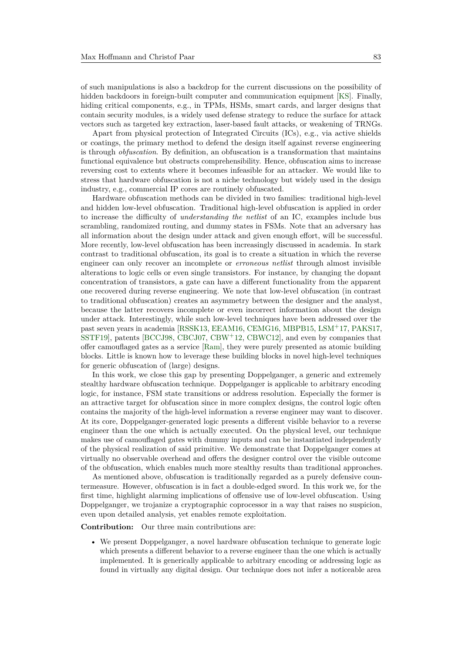of such manipulations is also a backdrop for the current discussions on the possibility of hidden backdoors in foreign-built computer and communication equipment [\[KS\]](#page-22-0). Finally, hiding critical components, e.g., in TPMs, HSMs, smart cards, and larger designs that contain security modules, is a widely used defense strategy to reduce the surface for attack vectors such as targeted key extraction, laser-based fault attacks, or weakening of TRNGs.

Apart from physical protection of Integrated Circuits (ICs), e.g., via active shields or coatings, the primary method to defend the design itself against reverse engineering is through *obfuscation*. By definition, an obfuscation is a transformation that maintains functional equivalence but obstructs comprehensibility. Hence, obfuscation aims to increase reversing cost to extents where it becomes infeasible for an attacker. We would like to stress that hardware obfuscation is not a niche technology but widely used in the design industry, e.g., commercial IP cores are routinely obfuscated.

Hardware obfuscation methods can be divided in two families: traditional high-level and hidden low-level obfuscation. Traditional high-level obfuscation is applied in order to increase the difficulty of *understanding the netlist* of an IC, examples include bus scrambling, randomized routing, and dummy states in FSMs. Note that an adversary has all information about the design under attack and given enough effort, will be successful. More recently, low-level obfuscation has been increasingly discussed in academia. In stark contrast to traditional obfuscation, its goal is to create a situation in which the reverse engineer can only recover an incomplete or *erroneous netlist* through almost invisible alterations to logic cells or even single transistors. For instance, by changing the dopant concentration of transistors, a gate can have a different functionality from the apparent one recovered during reverse engineering. We note that low-level obfuscation (in contrast to traditional obfuscation) creates an asymmetry between the designer and the analyst, because the latter recovers incomplete or even incorrect information about the design under attack. Interestingly, while such low-level techniques have been addressed over the past seven years in academia [\[RSSK13,](#page-23-2) [EEAM16,](#page-21-0) [CEMG16,](#page-21-1) [MBPB15,](#page-22-1) [LSM](#page-22-2)<sup>+</sup>17, [PAKS17,](#page-22-3) [SSTF19\]](#page-23-3), patents [\[BCCJ98,](#page-20-0) [CBCJ07,](#page-20-1) [CBW](#page-20-2)<sup>+</sup>12, [CBWC12\]](#page-20-3), and even by companies that offer camouflaged gates as a service [\[Ram\]](#page-22-4), they were purely presented as atomic building blocks. Little is known how to leverage these building blocks in novel high-level techniques for generic obfuscation of (large) designs.

In this work, we close this gap by presenting Doppelganger, a generic and extremely stealthy hardware obfuscation technique. Doppelganger is applicable to arbitrary encoding logic, for instance, FSM state transitions or address resolution. Especially the former is an attractive target for obfuscation since in more complex designs, the control logic often contains the majority of the high-level information a reverse engineer may want to discover. At its core, Doppelganger-generated logic presents a different visible behavior to a reverse engineer than the one which is actually executed. On the physical level, our technique makes use of camouflaged gates with dummy inputs and can be instantiated independently of the physical realization of said primitive. We demonstrate that Doppelganger comes at virtually no observable overhead and offers the designer control over the visible outcome of the obfuscation, which enables much more stealthy results than traditional approaches.

As mentioned above, obfuscation is traditionally regarded as a purely defensive countermeasure. However, obfuscation is in fact a double-edged sword. In this work we, for the first time, highlight alarming implications of offensive use of low-level obfuscation. Using Doppelganger, we trojanize a cryptographic coprocessor in a way that raises no suspicion, even upon detailed analysis, yet enables remote exploitation.

**Contribution:** Our three main contributions are:

• We present Doppelganger, a novel hardware obfuscation technique to generate logic which presents a different behavior to a reverse engineer than the one which is actually implemented. It is generically applicable to arbitrary encoding or addressing logic as found in virtually any digital design. Our technique does not infer a noticeable area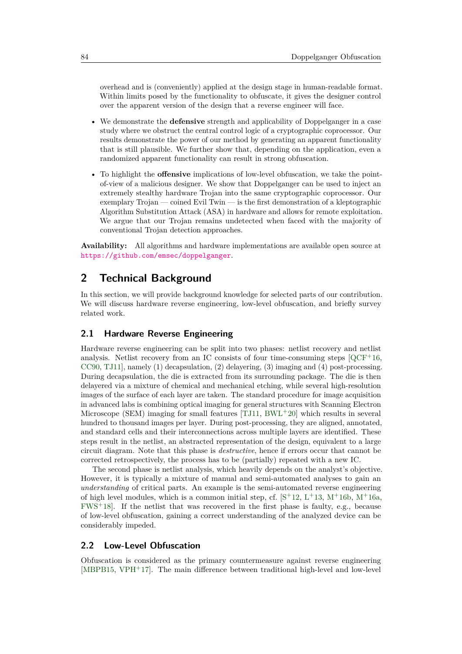overhead and is (conveniently) applied at the design stage in human-readable format. Within limits posed by the functionality to obfuscate, it gives the designer control over the apparent version of the design that a reverse engineer will face.

- We demonstrate the **defensive** strength and applicability of Doppelganger in a case study where we obstruct the central control logic of a cryptographic coprocessor. Our results demonstrate the power of our method by generating an apparent functionality that is still plausible. We further show that, depending on the application, even a randomized apparent functionality can result in strong obfuscation.
- To highlight the **offensive** implications of low-level obfuscation, we take the pointof-view of a malicious designer. We show that Doppelganger can be used to inject an extremely stealthy hardware Trojan into the same cryptographic coprocessor. Our exemplary Trojan — coined Evil Twin — is the first demonstration of a kleptographic Algorithm Substitution Attack (ASA) in hardware and allows for remote exploitation. We argue that our Trojan remains undetected when faced with the majority of conventional Trojan detection approaches.

**Availability:** All algorithms and hardware implementations are available open source at <https://github.com/emsec/doppelganger>.

# **2 Technical Background**

In this section, we will provide background knowledge for selected parts of our contribution. We will discuss hardware reverse engineering, low-level obfuscation, and briefly survey related work.

### <span id="page-2-0"></span>**2.1 Hardware Reverse Engineering**

Hardware reverse engineering can be split into two phases: netlist recovery and netlist analysis. Netlist recovery from an IC consists of four time-consuming steps  $[QCF<sup>+</sup>16$  $[QCF<sup>+</sup>16$ , [CC90,](#page-20-4) [TJ11\]](#page-23-4), namely (1) decapsulation, (2) delayering, (3) imaging and (4) post-processing. During decapsulation, the die is extracted from its surrounding package. The die is then delayered via a mixture of chemical and mechanical etching, while several high-resolution images of the surface of each layer are taken. The standard procedure for image acquisition in advanced labs is combining optical imaging for general structures with Scanning Electron Microscope (SEM) imaging for small features  $[TJ11, BWL+20]$  $[TJ11, BWL+20]$  $[TJ11, BWL+20]$  $[TJ11, BWL+20]$  which results in several hundred to thousand images per layer. During post-processing, they are aligned, annotated, and standard cells and their interconnections across multiple layers are identified. These steps result in the netlist, an abstracted representation of the design, equivalent to a large circuit diagram. Note that this phase is *destructive*, hence if errors occur that cannot be corrected retrospectively, the process has to be (partially) repeated with a new IC.

The second phase is netlist analysis, which heavily depends on the analyst's objective. However, it is typically a mixture of manual and semi-automated analyses to gain an *understanding* of critical parts. An example is the semi-automated reverse engineering of high level modules, which is a common initial step, cf.  $[S^+12, L^+13, M^+16b, M^+16a,$  $[S^+12, L^+13, M^+16b, M^+16a,$  $[S^+12, L^+13, M^+16b, M^+16a,$  $[S^+12, L^+13, M^+16b, M^+16a,$  $[S^+12, L^+13, M^+16b, M^+16a,$  $[S^+12, L^+13, M^+16b, M^+16a,$  $[S^+12, L^+13, M^+16b, M^+16a,$  $[S^+12, L^+13, M^+16b, M^+16a,$ [FWS](#page-21-2)<sup>+</sup>18]. If the netlist that was recovered in the first phase is faulty, e.g., because of low-level obfuscation, gaining a correct understanding of the analyzed device can be considerably impeded.

# <span id="page-2-1"></span>**2.2 Low-Level Obfuscation**

Obfuscation is considered as the primary countermeasure against reverse engineering [\[MBPB15,](#page-22-1) [VPH](#page-23-6)<sup>+</sup>17]. The main difference between traditional high-level and low-level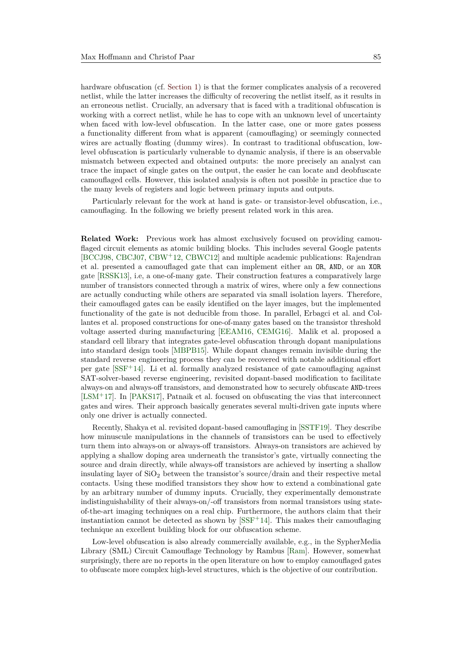hardware obfuscation (cf. [Section 1\)](#page-0-0) is that the former complicates analysis of a recovered netlist, while the latter increases the difficulty of recovering the netlist itself, as it results in an erroneous netlist. Crucially, an adversary that is faced with a traditional obfuscation is working with a correct netlist, while he has to cope with an unknown level of uncertainty when faced with low-level obfuscation. In the latter case, one or more gates possess a functionality different from what is apparent (camouflaging) or seemingly connected wires are actually floating (dummy wires). In contrast to traditional obfuscation, lowlevel obfuscation is particularly vulnerable to dynamic analysis, if there is an observable mismatch between expected and obtained outputs: the more precisely an analyst can trace the impact of single gates on the output, the easier he can locate and deobfuscate camouflaged cells. However, this isolated analysis is often not possible in practice due to the many levels of registers and logic between primary inputs and outputs.

Particularly relevant for the work at hand is gate- or transistor-level obfuscation, i.e., camouflaging. In the following we briefly present related work in this area.

**Related Work:** Previous work has almost exclusively focused on providing camouflaged circuit elements as atomic building blocks. This includes several Google patents [\[BCCJ98,](#page-20-0) [CBCJ07,](#page-20-1) [CBW](#page-20-2)<sup>+</sup>12, [CBWC12\]](#page-20-3) and multiple academic publications: Rajendran et al. presented a camouflaged gate that can implement either an OR, AND, or an XOR gate [\[RSSK13\]](#page-23-2), i.e, a one-of-many gate. Their construction features a comparatively large number of transistors connected through a matrix of wires, where only a few connections are actually conducting while others are separated via small isolation layers. Therefore, their camouflaged gates can be easily identified on the layer images, but the implemented functionality of the gate is not deducible from those. In parallel, Erbagci et al. and Collantes et al. proposed constructions for one-of-many gates based on the transistor threshold voltage asserted during manufacturing [\[EEAM16,](#page-21-0) [CEMG16\]](#page-21-1). Malik et al. proposed a standard cell library that integrates gate-level obfuscation through dopant manipulations into standard design tools [\[MBPB15\]](#page-22-1). While dopant changes remain invisible during the standard reverse engineering process they can be recovered with notable additional effort per gate [\[SSF](#page-23-7)<sup>+</sup>14]. Li et al. formally analyzed resistance of gate camouflaging against SAT-solver-based reverse engineering, revisited dopant-based modification to facilitate always-on and always-off transistors, and demonstrated how to securely obfuscate AND-trees [\[LSM](#page-22-2)<sup>+</sup>17]. In [\[PAKS17\]](#page-22-3), Patnaik et al. focused on obfuscating the vias that interconnect gates and wires. Their approach basically generates several multi-driven gate inputs where only one driver is actually connected.

Recently, Shakya et al. revisited dopant-based camouflaging in [\[SSTF19\]](#page-23-3). They describe how minuscule manipulations in the channels of transistors can be used to effectively turn them into always-on or always-off transistors. Always-on transistors are achieved by applying a shallow doping area underneath the transistor's gate, virtually connecting the source and drain directly, while always-off transistors are achieved by inserting a shallow insulating layer of  $SiO<sub>2</sub>$  between the transistor's source/drain and their respective metal contacts. Using these modified transistors they show how to extend a combinational gate by an arbitrary number of dummy inputs. Crucially, they experimentally demonstrate indistinguishability of their always-on/-off transistors from normal transistors using stateof-the-art imaging techniques on a real chip. Furthermore, the authors claim that their instantiation cannot be detected as shown by  $[SSF^+14]$  $[SSF^+14]$ . This makes their camouflaging technique an excellent building block for our obfuscation scheme.

<span id="page-3-0"></span>Low-level obfuscation is also already commercially available, e.g., in the SypherMedia Library (SML) Circuit Camouflage Technology by Rambus [\[Ram\]](#page-22-4). However, somewhat surprisingly, there are no reports in the open literature on how to employ camouflaged gates to obfuscate more complex high-level structures, which is the objective of our contribution.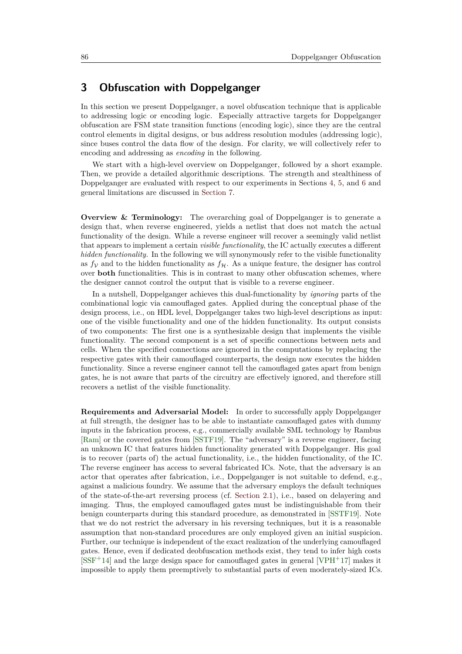# **3 Obfuscation with Doppelganger**

In this section we present Doppelganger, a novel obfuscation technique that is applicable to addressing logic or encoding logic. Especially attractive targets for Doppelganger obfuscation are FSM state transition functions (encoding logic), since they are the central control elements in digital designs, or bus address resolution modules (addressing logic), since buses control the data flow of the design. For clarity, we will collectively refer to encoding and addressing as *encoding* in the following.

We start with a high-level overview on Doppelganger, followed by a short example. Then, we provide a detailed algorithmic descriptions. The strength and stealthiness of Doppelganger are evaluated with respect to our experiments in Sections [4,](#page-9-0) [5,](#page-10-0) and [6](#page-14-0) and general limitations are discussed in [Section 7.](#page-18-0)

**Overview & Terminology:** The overarching goal of Doppelganger is to generate a design that, when reverse engineered, yields a netlist that does not match the actual functionality of the design. While a reverse engineer will recover a seemingly valid netlist that appears to implement a certain *visible functionality*, the IC actually executes a different *hidden functionality.* In the following we will synonymously refer to the visible functionality as  $f_V$  and to the hidden functionality as  $f_H$ . As a unique feature, the designer has control over **both** functionalities. This is in contrast to many other obfuscation schemes, where the designer cannot control the output that is visible to a reverse engineer.

In a nutshell, Doppelganger achieves this dual-functionality by *ignoring* parts of the combinational logic via camouflaged gates. Applied during the conceptual phase of the design process, i.e., on HDL level, Doppelganger takes two high-level descriptions as input: one of the visible functionality and one of the hidden functionality. Its output consists of two components: The first one is a synthesizable design that implements the visible functionality. The second component is a set of specific connections between nets and cells. When the specified connections are ignored in the computations by replacing the respective gates with their camouflaged counterparts, the design now executes the hidden functionality. Since a reverse engineer cannot tell the camouflaged gates apart from benign gates, he is not aware that parts of the circuitry are effectively ignored, and therefore still recovers a netlist of the visible functionality.

<span id="page-4-0"></span>**Requirements and Adversarial Model:** In order to successfully apply Doppelganger at full strength, the designer has to be able to instantiate camouflaged gates with dummy inputs in the fabrication process, e.g., commercially available SML technology by Rambus [\[Ram\]](#page-22-4) or the covered gates from [\[SSTF19\]](#page-23-3). The "adversary" is a reverse engineer, facing an unknown IC that features hidden functionality generated with Doppelganger. His goal is to recover (parts of) the actual functionality, i.e., the hidden functionality, of the IC. The reverse engineer has access to several fabricated ICs. Note, that the adversary is an actor that operates after fabrication, i.e., Doppelganger is not suitable to defend, e.g., against a malicious foundry. We assume that the adversary employs the default techniques of the state-of-the-art reversing process (cf. [Section 2.1\)](#page-2-0), i.e., based on delayering and imaging. Thus, the employed camouflaged gates must be indistinguishable from their benign counterparts during this standard procedure, as demonstrated in [\[SSTF19\]](#page-23-3). Note that we do not restrict the adversary in his reversing techniques, but it is a reasonable assumption that non-standard procedures are only employed given an initial suspicion. Further, our technique is independent of the exact realization of the underlying camouflaged gates. Hence, even if dedicated deobfuscation methods exist, they tend to infer high costs  $[SSF+14]$  $[SSF+14]$  and the large design space for camouflaged gates in general  $[VPH+17]$  $[VPH+17]$  makes it impossible to apply them preemptively to substantial parts of even moderately-sized ICs.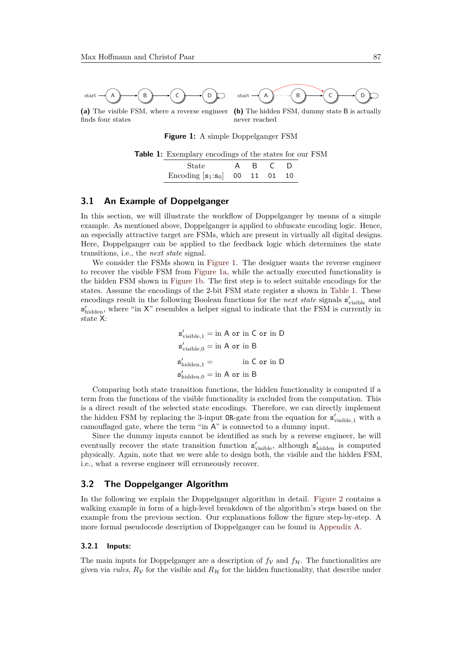<span id="page-5-0"></span>

<span id="page-5-3"></span><span id="page-5-1"></span>**(a)** The visible FSM, where a reverse engineer finds four states

<span id="page-5-2"></span>**(b)** The hidden FSM, dummy state B is actually never reached

**Figure 1:** A simple Doppelganger FSM

| <b>Table 1:</b> Exemplary encodings of the states for our FSM |  |
|---------------------------------------------------------------|--|
|---------------------------------------------------------------|--|

| State                         |  |                |
|-------------------------------|--|----------------|
| Encoding $[s_1:s_0]$ 00 11 01 |  | 1 <sub>0</sub> |

## **3.1 An Example of Doppelganger**

In this section, we will illustrate the workflow of Doppelganger by means of a simple example. As mentioned above, Doppelganger is applied to obfuscate encoding logic. Hence, an especially attractive target are FSMs, which are present in virtually all digital designs. Here, Doppelganger can be applied to the feedback logic which determines the state transitions, i.e., the *next state* signal.

We consider the FSMs shown in [Figure 1.](#page-5-0) The designer wants the reverse engineer to recover the visible FSM from [Figure 1a,](#page-5-1) while the actually executed functionality is the hidden FSM shown in [Figure 1b.](#page-5-2) The first step is to select suitable encodings for the states. Assume the encodings of the 2-bit FSM state register s shown in [Table 1.](#page-5-3) These encodings result in the following Boolean functions for the *next state* signals  $s'_{\text{visible}}$  and  $s'_{hidden}$ , where "in  $X$ " resembles a helper signal to indicate that the FSM is currently in state X:

> $s'_{\text{visible},1} = \text{in A or in C or in D}$ s 0 visible*,*<sup>0</sup> = in A or in B  $s'_l$ in C or in D s 0 hidden*,*<sup>0</sup> = in A or in B

Comparing both state transition functions, the hidden functionality is computed if a term from the functions of the visible functionality is excluded from the computation. This is a direct result of the selected state encodings. Therefore, we can directly implement the hidden FSM by replacing the 3-input  $OR$ -gate from the equation for  $s'_{visible,1}$  with a camouflaged gate, where the term "in A" is connected to a dummy input.

Since the dummy inputs cannot be identified as such by a reverse engineer, he will eventually recover the state transition function  $s'_{visible}$ , although  $s'_{hidden}$  is computed physically. Again, note that we were able to design both, the visible and the hidden FSM, i.e., what a reverse engineer will erroneously recover.

### <span id="page-5-4"></span>**3.2 The Doppelganger Algorithm**

In the following we explain the Doppelganger algorithm in detail. [Figure 2](#page-6-0) contains a walking example in form of a high-level breakdown of the algorithm's steps based on the example from the previous section. Our explanations follow the figure step-by-step. A more formal pseudocode description of Doppelganger can be found in [Appendix A.](#page-24-0)

#### **3.2.1 Inputs:**

The main inputs for Doppelganger are a description of  $f_V$  and  $f_H$ . The functionalities are given via *rules*,  $R_V$  for the visible and  $R_H$  for the hidden functionality, that describe under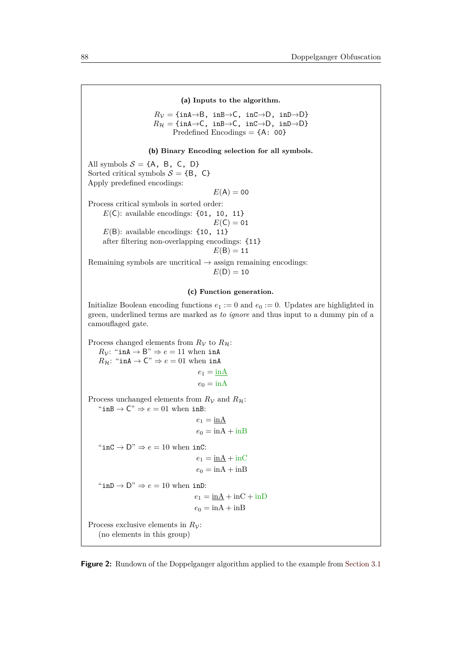<span id="page-6-1"></span>**(a) Inputs to the algorithm.**

<span id="page-6-0"></span>
$$
R_{\mathcal{V}} = \{ \text{inA} \rightarrow \text{B}, \text{ inB} \rightarrow \text{C}, \text{ inC} \rightarrow \text{D}, \text{ inD} \rightarrow \text{D} \}
$$
  

$$
R_{\mathcal{H}} = \{ \text{inA} \rightarrow \text{C}, \text{ inB} \rightarrow \text{C}, \text{ inC} \rightarrow \text{D}, \text{ inD} \rightarrow \text{D} \}
$$
  
Predefined Encodings = {A: 00}

#### <span id="page-6-2"></span>**(b) Binary Encoding selection for all symbols.**

All symbols  $S = \{A, B, C, D\}$ Sorted critical symbols  $S = \{B, C\}$ Apply predefined encodings:

$$
E(\mathsf{A})=00
$$

Process critical symbols in sorted order:  $E(\mathsf{C})$ : available encodings: {01, 10, 11}  $E(C) = 01$  $E(B)$ : available encodings: {10, 11} after filtering non-overlapping encodings: {11}  $E(B) = 11$ 

Remaining symbols are uncritical  $\rightarrow$  assign remaining encodings:  $E(D) = 10$ 

#### <span id="page-6-3"></span>**(c) Function generation.**

Initialize Boolean encoding functions  $e_1 := 0$  and  $e_0 := 0$ . Updates are highlighted in green, underlined terms are marked as *to ignore* and thus input to a dummy pin of a camouflaged gate.

Process changed elements from  $R_V$  to  $R_H$ :  $R_V$ : "inA  $\rightarrow$  B"  $\Rightarrow$  *e* = 11 when inA  $R_{\mathcal{H}}$ : "inA  $\rightarrow$  C"  $\Rightarrow$  *e* = 01 when inA  $e_1 = \underline{\text{inA}}$  $e_0 = \text{inA}$ Process unchanged elements from  $R<sub>V</sub>$  and  $R<sub>H</sub>$ : " $\text{inB} \rightarrow \text{C}$ "  $\Rightarrow e = 01$  when  $\text{inB}$ :  $e_1 = \underline{\text{inA}}$  $e_0 = \text{inA} + \text{inB}$ " $\text{inc} \rightarrow D$ "  $\Rightarrow e = 10$  when inC:  $e_1 = \text{inA} + \text{inC}$  $e_0 = \text{inA} + \text{inB}$ " $\text{inD} \rightarrow D$ "  $\Rightarrow e = 10$  when  $\text{inD}$ :  $e_1 = \underline{\text{inA}} + \text{inC} + \text{inD}$  $e_0 = \text{inA} + \text{inB}$ Process exclusive elements in  $R_{\mathcal{V}}$ : (no elements in this group)

**Figure 2:** Rundown of the Doppelganger algorithm applied to the example from [Section 3.1](#page-4-0)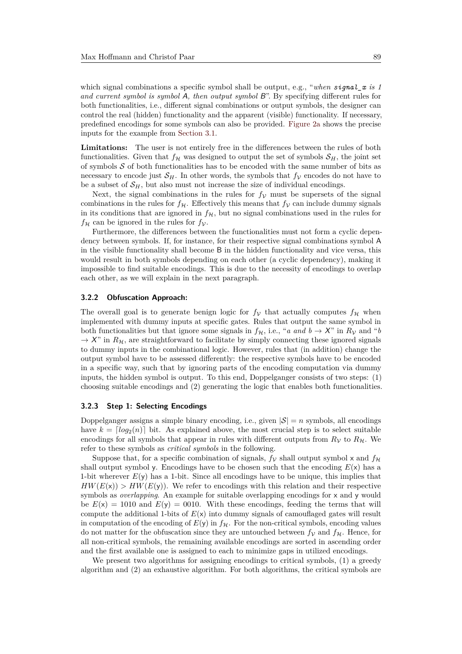which signal combinations a specific symbol shall be output, e.g., "*when signal\_x is 1 and current symbol is symbol* A*, then output symbol* B". By specifying different rules for both functionalities, i.e., different signal combinations or output symbols, the designer can control the real (hidden) functionality and the apparent (visible) functionality. If necessary, predefined encodings for some symbols can also be provided. [Figure 2a](#page-6-1) shows the precise inputs for the example from [Section 3.1.](#page-4-0)

**Limitations:** The user is not entirely free in the differences between the rules of both functionalities. Given that  $f_{\mathcal{H}}$  was designed to output the set of symbols  $S_H$ , the joint set of symbols  $S$  of both functionalities has to be encoded with the same number of bits as necessary to encode just  $S_H$ . In other words, the symbols that  $f_V$  encodes do not have to be a subset of  $\mathcal{S}_H$ , but also must not increase the size of individual encodings.

Next, the signal combinations in the rules for  $f_V$  must be supersets of the signal combinations in the rules for  $f_{\mathcal{H}}$ . Effectively this means that  $f_{\mathcal{V}}$  can include dummy signals in its conditions that are ignored in  $f_{\mathcal{H}}$ , but no signal combinations used in the rules for  $f_{\mathcal{H}}$  can be ignored in the rules for  $f_{\mathcal{V}}$ .

Furthermore, the differences between the functionalities must not form a cyclic dependency between symbols. If, for instance, for their respective signal combinations symbol A in the visible functionality shall become B in the hidden functionality and vice versa, this would result in both symbols depending on each other (a cyclic dependency), making it impossible to find suitable encodings. This is due to the necessity of encodings to overlap each other, as we will explain in the next paragraph.

#### **3.2.2 Obfuscation Approach:**

The overall goal is to generate benign logic for  $f<sub>V</sub>$  that actually computes  $f<sub>H</sub>$  when implemented with dummy inputs at specific gates. Rules that output the same symbol in both functionalities but that ignore some signals in  $f_{\mathcal{H}}$ , i.e., "*a* and  $b \to X$ " in  $R_{\mathcal{V}}$  and "*b*  $\rightarrow$  X" in  $R_{\mathcal{H}}$ , are straightforward to facilitate by simply connecting these ignored signals to dummy inputs in the combinational logic. However, rules that (in addition) change the output symbol have to be assessed differently: the respective symbols have to be encoded in a specific way, such that by ignoring parts of the encoding computation via dummy inputs, the hidden symbol is output. To this end, Doppelganger consists of two steps: (1) choosing suitable encodings and (2) generating the logic that enables both functionalities.

#### **3.2.3 Step 1: Selecting Encodings**

Doppelganger assigns a simple binary encoding, i.e., given  $|S| = n$  symbols, all encodings have  $k = \lfloor log_2(n) \rfloor$  bit. As explained above, the most crucial step is to select suitable encodings for all symbols that appear in rules with different outputs from  $R<sub>V</sub>$  to  $R<sub>H</sub>$ . We refer to these symbols as *critical symbols* in the following.

Suppose that, for a specific combination of signals,  $f_V$  shall output symbol x and  $f_H$ shall output symbol y. Encodings have to be chosen such that the encoding  $E(x)$  has a 1-bit wherever *E*(y) has a 1-bit. Since all encodings have to be unique, this implies that  $HW(E(x)) > HW(E(y))$ . We refer to encodings with this relation and their respective symbols as *overlapping*. An example for suitable overlapping encodings for x and y would be  $E(x) = 1010$  and  $E(y) = 0010$ . With these encodings, feeding the terms that will compute the additional 1-bits of  $E(x)$  into dummy signals of camouflaged gates will result in computation of the encoding of  $E(y)$  in  $f_{\mathcal{H}}$ . For the non-critical symbols, encoding values do not matter for the obfuscation since they are untouched between  $f_V$  and  $f_H$ . Hence, for all non-critical symbols, the remaining available encodings are sorted in ascending order and the first available one is assigned to each to minimize gaps in utilized encodings.

We present two algorithms for assigning encodings to critical symbols, (1) a greedy algorithm and (2) an exhaustive algorithm. For both algorithms, the critical symbols are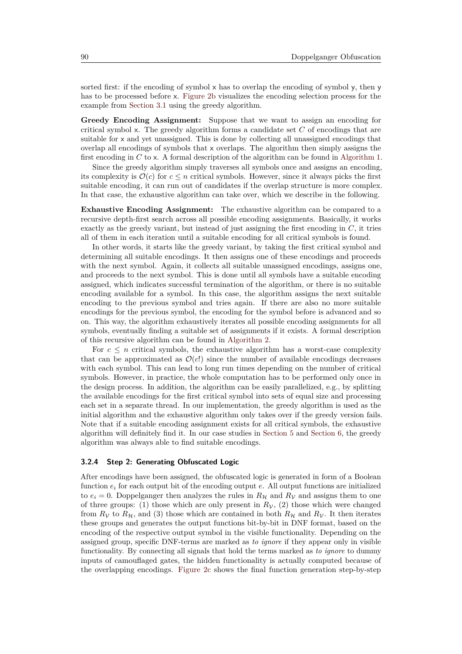sorted first: if the encoding of symbol  $\times$  has to overlap the encoding of symbol  $\times$ , then  $\times$ has to be processed before x. [Figure 2b](#page-6-2) visualizes the encoding selection process for the example from [Section 3.1](#page-4-0) using the greedy algorithm.

**Greedy Encoding Assignment:** Suppose that we want to assign an encoding for critical symbol x. The greedy algorithm forms a candidate set *C* of encodings that are suitable for x and yet unassigned. This is done by collecting all unassigned encodings that overlap all encodings of symbols that  $x$  overlaps. The algorithm then simply assigns the first encoding in *C* to x. A formal description of the algorithm can be found in [Algorithm 1.](#page-24-1)

Since the greedy algorithm simply traverses all symbols once and assigns an encoding, its complexity is  $\mathcal{O}(c)$  for  $c \leq n$  critical symbols. However, since it always picks the first suitable encoding, it can run out of candidates if the overlap structure is more complex. In that case, the exhaustive algorithm can take over, which we describe in the following.

**Exhaustive Encoding Assignment:** The exhaustive algorithm can be compared to a recursive depth-first search across all possible encoding assignments. Basically, it works exactly as the greedy variant, but instead of just assigning the first encoding in *C*, it tries all of them in each iteration until a suitable encoding for all critical symbols is found.

In other words, it starts like the greedy variant, by taking the first critical symbol and determining all suitable encodings. It then assigns one of these encodings and proceeds with the next symbol. Again, it collects all suitable unassigned encodings, assigns one, and proceeds to the next symbol. This is done until all symbols have a suitable encoding assigned, which indicates successful termination of the algorithm, or there is no suitable encoding available for a symbol. In this case, the algorithm assigns the next suitable encoding to the previous symbol and tries again. If there are also no more suitable encodings for the previous symbol, the encoding for the symbol before is advanced and so on. This way, the algorithm exhaustively iterates all possible encoding assignments for all symbols, eventually finding a suitable set of assignments if it exists. A formal description of this recursive algorithm can be found in [Algorithm 2.](#page-25-0)

For  $c \leq n$  critical symbols, the exhaustive algorithm has a worst-case complexity that can be approximated as  $\mathcal{O}(c!)$  since the number of available encodings decreases with each symbol. This can lead to long run times depending on the number of critical symbols. However, in practice, the whole computation has to be performed only once in the design process. In addition, the algorithm can be easily parallelized, e.g., by splitting the available encodings for the first critical symbol into sets of equal size and processing each set in a separate thread. In our implementation, the greedy algorithm is used as the initial algorithm and the exhaustive algorithm only takes over if the greedy version fails. Note that if a suitable encoding assignment exists for all critical symbols, the exhaustive algorithm will definitely find it. In our case studies in [Section 5](#page-10-0) and [Section 6,](#page-14-0) the greedy algorithm was always able to find suitable encodings.

#### **3.2.4 Step 2: Generating Obfuscated Logic**

After encodings have been assigned, the obfuscated logic is generated in form of a Boolean function *e<sup>i</sup>* for each output bit of the encoding output *e*. All output functions are initialized to  $e_i = 0$ . Doppelganger then analyzes the rules in  $R_H$  and  $R_V$  and assigns them to one of three groups: (1) those which are only present in  $R<sub>V</sub>$ , (2) those which were changed from  $R_V$  to  $R_H$ , and (3) those which are contained in both  $R_H$  and  $R_V$ . It then iterates these groups and generates the output functions bit-by-bit in DNF format, based on the encoding of the respective output symbol in the visible functionality. Depending on the assigned group, specific DNF-terms are marked as *to ignore* if they appear only in visible functionality. By connecting all signals that hold the terms marked as *to ignore* to dummy inputs of camouflaged gates, the hidden functionality is actually computed because of the overlapping encodings. [Figure 2c](#page-6-3) shows the final function generation step-by-step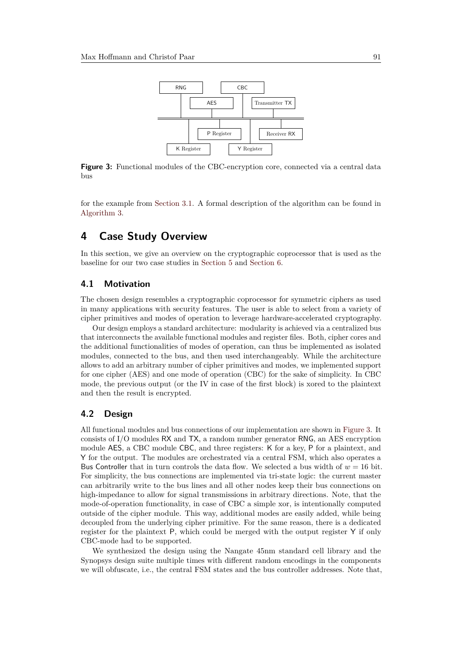<span id="page-9-1"></span>

Figure 3: Functional modules of the CBC-encryption core, connected via a central data bus

for the example from [Section 3.1.](#page-4-0) A formal description of the algorithm can be found in [Algorithm 3.](#page-26-0)

# <span id="page-9-0"></span>**4 Case Study Overview**

In this section, we give an overview on the cryptographic coprocessor that is used as the baseline for our two case studies in [Section 5](#page-10-0) and [Section 6.](#page-14-0)

### **4.1 Motivation**

The chosen design resembles a cryptographic coprocessor for symmetric ciphers as used in many applications with security features. The user is able to select from a variety of cipher primitives and modes of operation to leverage hardware-accelerated cryptography.

Our design employs a standard architecture: modularity is achieved via a centralized bus that interconnects the available functional modules and register files. Both, cipher cores and the additional functionalities of modes of operation, can thus be implemented as isolated modules, connected to the bus, and then used interchangeably. While the architecture allows to add an arbitrary number of cipher primitives and modes, we implemented support for one cipher (AES) and one mode of operation (CBC) for the sake of simplicity. In CBC mode, the previous output (or the IV in case of the first block) is xored to the plaintext and then the result is encrypted.

# **4.2 Design**

All functional modules and bus connections of our implementation are shown in [Figure 3.](#page-9-1) It consists of I/O modules RX and TX, a random number generator RNG, an AES encryption module AES, a CBC module CBC, and three registers: K for a key, P for a plaintext, and Y for the output. The modules are orchestrated via a central FSM, which also operates a Bus Controller that in turn controls the data flow. We selected a bus width of *w* = 16 bit. For simplicity, the bus connections are implemented via tri-state logic: the current master can arbitrarily write to the bus lines and all other nodes keep their bus connections on high-impedance to allow for signal transmissions in arbitrary directions. Note, that the mode-of-operation functionality, in case of CBC a simple xor, is intentionally computed outside of the cipher module. This way, additional modes are easily added, while being decoupled from the underlying cipher primitive. For the same reason, there is a dedicated register for the plaintext P, which could be merged with the output register Y if only CBC-mode had to be supported.

We synthesized the design using the Nangate 45nm standard cell library and the Synopsys design suite multiple times with different random encodings in the components we will obfuscate, i.e., the central FSM states and the bus controller addresses. Note that,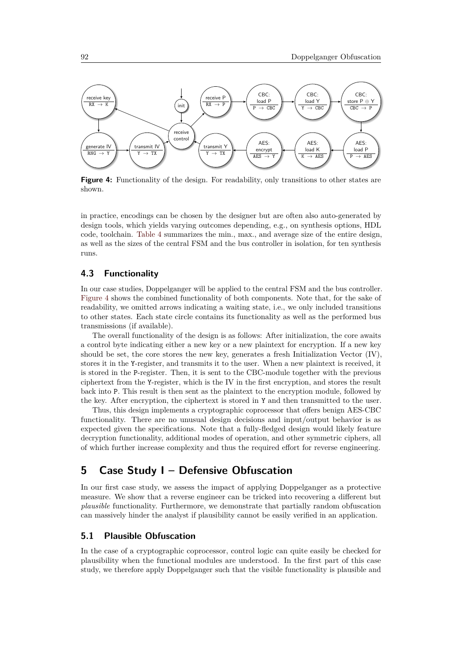<span id="page-10-1"></span>

**Figure 4:** Functionality of the design. For readability, only transitions to other states are shown.

in practice, encodings can be chosen by the designer but are often also auto-generated by design tools, which yields varying outcomes depending, e.g., on synthesis options, HDL code, toolchain. [Table 4](#page-12-0) summarizes the min., max., and average size of the entire design, as well as the sizes of the central FSM and the bus controller in isolation, for ten synthesis runs.

# **4.3 Functionality**

In our case studies, Doppelganger will be applied to the central FSM and the bus controller. [Figure 4](#page-10-1) shows the combined functionality of both components. Note that, for the sake of readability, we omitted arrows indicating a waiting state, i.e., we only included transitions to other states. Each state circle contains its functionality as well as the performed bus transmissions (if available).

The overall functionality of the design is as follows: After initialization, the core awaits a control byte indicating either a new key or a new plaintext for encryption. If a new key should be set, the core stores the new key, generates a fresh Initialization Vector (IV), stores it in the Y-register, and transmits it to the user. When a new plaintext is received, it is stored in the P-register. Then, it is sent to the CBC-module together with the previous ciphertext from the Y-register, which is the IV in the first encryption, and stores the result back into P. This result is then sent as the plaintext to the encryption module, followed by the key. After encryption, the ciphertext is stored in Y and then transmitted to the user.

Thus, this design implements a cryptographic coprocessor that offers benign AES-CBC functionality. There are no unusual design decisions and input/output behavior is as expected given the specifications. Note that a fully-fledged design would likely feature decryption functionality, additional modes of operation, and other symmetric ciphers, all of which further increase complexity and thus the required effort for reverse engineering.

# <span id="page-10-0"></span>**5 Case Study I – Defensive Obfuscation**

In our first case study, we assess the impact of applying Doppelganger as a protective measure. We show that a reverse engineer can be tricked into recovering a different but *plausible* functionality. Furthermore, we demonstrate that partially random obfuscation can massively hinder the analyst if plausibility cannot be easily verified in an application.

#### **5.1 Plausible Obfuscation**

In the case of a cryptographic coprocessor, control logic can quite easily be checked for plausibility when the functional modules are understood. In the first part of this case study, we therefore apply Doppelganger such that the visible functionality is plausible and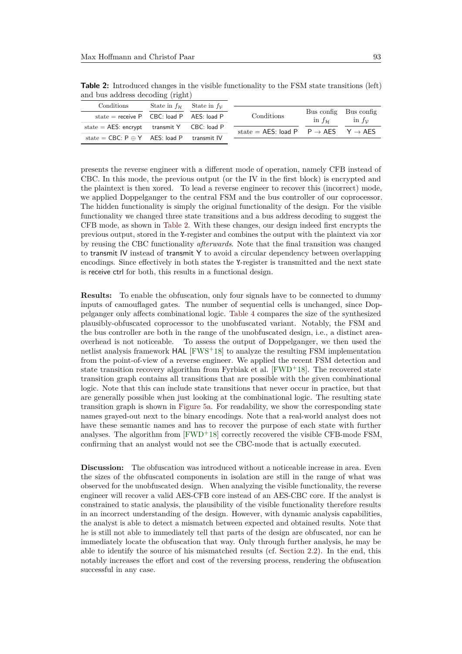| $\alpha$ and bus addition decounts $\alpha$       |                                                       |                                                             |                      |                       |
|---------------------------------------------------|-------------------------------------------------------|-------------------------------------------------------------|----------------------|-----------------------|
| Conditions                                        | State in $f_{\mathcal{H}}$ State in $f_{\mathcal{V}}$ |                                                             |                      |                       |
|                                                   |                                                       |                                                             |                      | Bus config Bus config |
| state = receive $P$ CBC: load $P$ AES: load $P$   |                                                       | Conditions                                                  | in $f_{\mathcal{H}}$ | in $f_{\mathcal{V}}$  |
| state $=$ AES: encrypt transmit Y CBC: load P     |                                                       |                                                             |                      |                       |
|                                                   |                                                       | state = AES: load P $P \rightarrow AES$ $Y \rightarrow AES$ |                      |                       |
| state = CBC: $P \oplus Y$ AES: load P transmit IV |                                                       |                                                             |                      |                       |
|                                                   |                                                       |                                                             |                      |                       |

<span id="page-11-0"></span>**Table 2:** Introduced changes in the visible functionality to the FSM state transitions (left) and bus address decoding (right)

presents the reverse engineer with a different mode of operation, namely CFB instead of CBC. In this mode, the previous output (or the IV in the first block) is encrypted and the plaintext is then xored. To lead a reverse engineer to recover this (incorrect) mode, we applied Doppelganger to the central FSM and the bus controller of our coprocessor. The hidden functionality is simply the original functionality of the design. For the visible functionality we changed three state transitions and a bus address decoding to suggest the CFB mode, as shown in [Table 2.](#page-11-0) With these changes, our design indeed first encrypts the previous output, stored in the Y-register and combines the output with the plaintext via xor by reusing the CBC functionality *afterwards*. Note that the final transition was changed to transmit IV instead of transmit Y to avoid a circular dependency between overlapping encodings. Since effectively in both states the Y-register is transmitted and the next state is receive ctrl for both, this results in a functional design.

**Results:** To enable the obfuscation, only four signals have to be connected to dummy inputs of camouflaged gates. The number of sequential cells is unchanged, since Doppelganger only affects combinational logic. [Table 4](#page-12-0) compares the size of the synthesized plausibly-obfuscated coprocessor to the unobfuscated variant. Notably, the FSM and the bus controller are both in the range of the unobfuscated design, i.e., a distinct areaoverhead is not noticeable. To assess the output of Doppelganger, we then used the netlist analysis framework HAL [\[FWS](#page-21-2)<sup>+</sup>18] to analyze the resulting FSM implementation from the point-of-view of a reverse engineer. We applied the recent FSM detection and state transition recovery algorithm from Fyrbiak et al.  $[FWD<sup>+</sup>18]$  $[FWD<sup>+</sup>18]$ . The recovered state transition graph contains all transitions that are possible with the given combinational logic. Note that this can include state transitions that never occur in practice, but that are generally possible when just looking at the combinational logic. The resulting state transition graph is shown in [Figure 5a.](#page-13-0) For readability, we show the corresponding state names grayed-out next to the binary encodings. Note that a real-world analyst does not have these semantic names and has to recover the purpose of each state with further analyses. The algorithm from [\[FWD](#page-21-3)<sup>+</sup>18] correctly recovered the visible CFB-mode FSM, confirming that an analyst would not see the CBC-mode that is actually executed.

**Discussion:** The obfuscation was introduced without a noticeable increase in area. Even the sizes of the obfuscated components in isolation are still in the range of what was observed for the unobfuscated design. When analyzing the visible functionality, the reverse engineer will recover a valid AES-CFB core instead of an AES-CBC core. If the analyst is constrained to static analysis, the plausibility of the visible functionality therefore results in an incorrect understanding of the design. However, with dynamic analysis capabilities, the analyst is able to detect a mismatch between expected and obtained results. Note that he is still not able to immediately tell that parts of the design are obfuscated, nor can he immediately locate the obfuscation that way. Only through further analysis, he may be able to identify the source of his mismatched results (cf. [Section 2.2\)](#page-2-1). In the end, this notably increases the effort and cost of the reversing process, rendering the obfuscation successful in any case.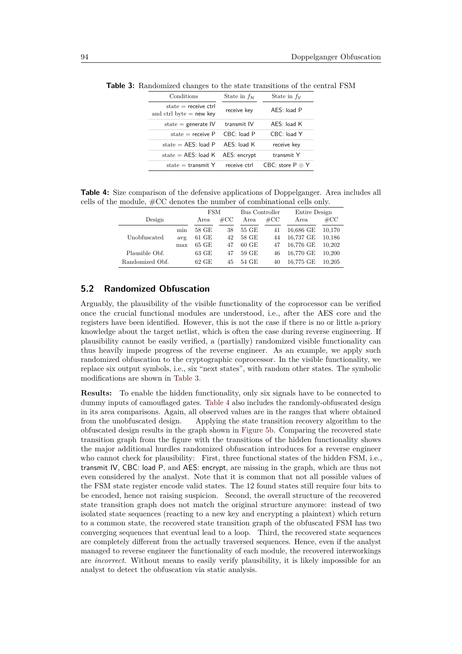| Conditions                                         | State in $f_{\mathcal{H}}$ | State in $f_v$          |
|----------------------------------------------------|----------------------------|-------------------------|
| $state = receive ctr$<br>and ctrl byte $=$ new key | receive key                | AES: load P             |
| state $=$ generate IV                              | transmit IV                | $AES:$ load $K$         |
| state $=$ receive P                                | $CRC$ load P               | CBC: load Y             |
| state $=$ AES: load P                              | $AES:$ load $K$            | receive key             |
| state $=$ AES: load K                              | AES: encrypt               | transmit Y              |
| state $=$ transmit Y                               | receive ctrl               | CBC: store $P \oplus Y$ |

<span id="page-12-1"></span>**Table 3:** Randomized changes to the state transitions of the central FSM

<span id="page-12-0"></span>**Table 4:** Size comparison of the defensive applications of Doppelganger. Area includes all cells of the module, #CC denotes the number of combinational cells only.

|                 |     | <b>FSM</b>      |               | Bus Controller  |               | Entire Design |        |
|-----------------|-----|-----------------|---------------|-----------------|---------------|---------------|--------|
| Design          |     | Area            | $\#\text{CC}$ | Area            | $\#\text{CC}$ | Area          | $\#CC$ |
|                 | min | 58 GE           | 38            | 55 GE           | 41            | 16,686 GE     | 10,170 |
| Unobfuscated    | avg | $61$ GE         | 42            | 58 GE           | 44            | 16,737 GE     | 10,186 |
|                 | max | 65 GE           | 47            | $60 \text{ GE}$ | 47            | 16,776 GE     | 10,202 |
| Plausible Obf.  |     | $63 \text{ GE}$ | 47            | 59 GE           | 46            | 16,770 GE     | 10.200 |
| Randomized Obf. |     | $62$ GE         | 45            | 54 GE           | 40            | 16,775 GE     | 10.205 |

# **5.2 Randomized Obfuscation**

Arguably, the plausibility of the visible functionality of the coprocessor can be verified once the crucial functional modules are understood, i.e., after the AES core and the registers have been identified. However, this is not the case if there is no or little a-priory knowledge about the target netlist, which is often the case during reverse engineering. If plausibility cannot be easily verified, a (partially) randomized visible functionality can thus heavily impede progress of the reverse engineer. As an example, we apply such randomized obfuscation to the cryptographic coprocessor. In the visible functionality, we replace six output symbols, i.e., six "next states", with random other states. The symbolic modifications are shown in [Table 3.](#page-12-1)

**Results:** To enable the hidden functionality, only six signals have to be connected to dummy inputs of camouflaged gates. [Table 4](#page-12-0) also includes the randomly-obfuscated design in its area comparisons. Again, all observed values are in the ranges that where obtained from the unobfuscated design. Applying the state transition recovery algorithm to the obfuscated design results in the graph shown in [Figure 5b.](#page-13-1) Comparing the recovered state transition graph from the figure with the transitions of the hidden functionality shows the major additional hurdles randomized obfuscation introduces for a reverse engineer who cannot check for plausibility: First, three functional states of the hidden FSM, i.e., transmit IV, CBC: load P, and AES: encrypt, are missing in the graph, which are thus not even considered by the analyst. Note that it is common that not all possible values of the FSM state register encode valid states. The 12 found states still require four bits to be encoded, hence not raising suspicion. Second, the overall structure of the recovered state transition graph does not match the original structure anymore: instead of two isolated state sequences (reacting to a new key and encrypting a plaintext) which return to a common state, the recovered state transition graph of the obfuscated FSM has two converging sequences that eventual lead to a loop. Third, the recovered state sequences are completely different from the actually traversed sequences. Hence, even if the analyst managed to reverse engineer the functionality of each module, the recovered interworkings are *incorrect*. Without means to easily verify plausibility, it is likely impossible for an analyst to detect the obfuscation via static analysis.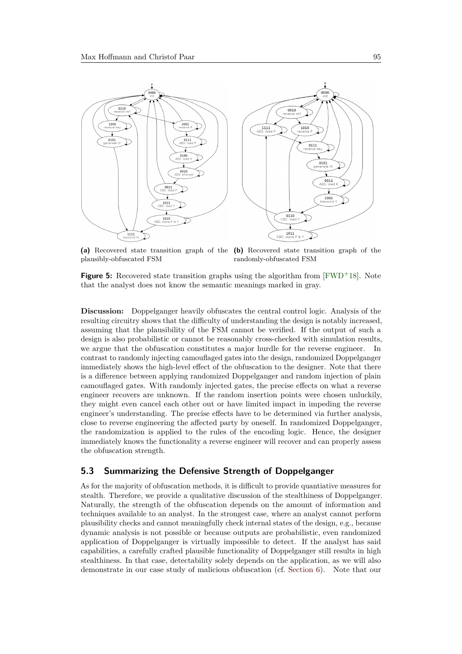

<span id="page-13-1"></span><span id="page-13-0"></span>**(a)** Recovered state transition graph of the **(b)** Recovered state transition graph of the plausibly-obfuscated FSM randomly-obfuscated FSM

**Figure 5:** Recovered state transition graphs using the algorithm from [\[FWD](#page-21-3)<sup>+</sup>18]. Note that the analyst does not know the semantic meanings marked in gray.

**Discussion:** Doppelganger heavily obfuscates the central control logic. Analysis of the resulting circuitry shows that the difficulty of understanding the design is notably increased, assuming that the plausibility of the FSM cannot be verified. If the output of such a design is also probabilistic or cannot be reasonably cross-checked with simulation results, we argue that the obfuscation constitutes a major hurdle for the reverse engineer. In contrast to randomly injecting camouflaged gates into the design, randomized Doppelganger immediately shows the high-level effect of the obfuscation to the designer. Note that there is a difference between applying randomized Doppelganger and random injection of plain camouflaged gates. With randomly injected gates, the precise effects on what a reverse engineer recovers are unknown. If the random insertion points were chosen unluckily, they might even cancel each other out or have limited impact in impeding the reverse engineer's understanding. The precise effects have to be determined via further analysis, close to reverse engineering the affected party by oneself. In randomized Doppelganger, the randomization is applied to the rules of the encoding logic. Hence, the designer immediately knows the functionality a reverse engineer will recover and can properly assess the obfuscation strength.

# **5.3 Summarizing the Defensive Strength of Doppelganger**

As for the majority of obfuscation methods, it is difficult to provide quantiative measures for stealth. Therefore, we provide a qualitative discussion of the stealthiness of Doppelganger. Naturally, the strength of the obfuscation depends on the amount of information and techniques available to an analyst. In the strongest case, where an analyst cannot perform plausibility checks and cannot meaningfully check internal states of the design, e.g., because dynamic analysis is not possible or because outputs are probabilistic, even randomized application of Doppelganger is virtually impossible to detect. If the analyst has said capabilities, a carefully crafted plausible functionality of Doppelganger still results in high stealthiness. In that case, detectability solely depends on the application, as we will also demonstrate in our case study of malicious obfuscation (cf. [Section 6\)](#page-14-0). Note that our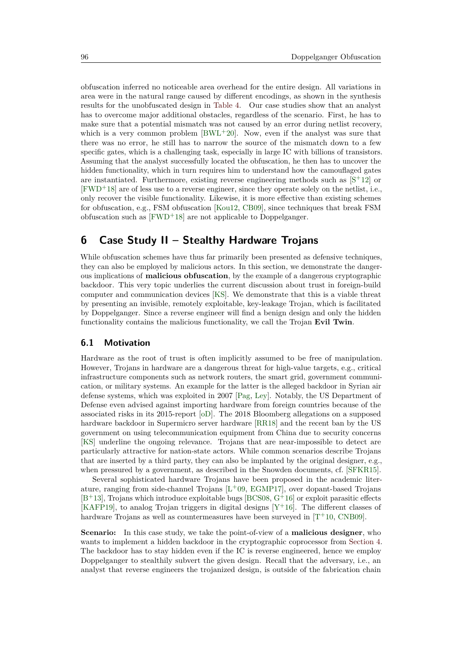obfuscation inferred no noticeable area overhead for the entire design. All variations in area were in the natural range caused by different encodings, as shown in the synthesis results for the unobfuscated design in [Table 4.](#page-12-0) Our case studies show that an analyst has to overcome major additional obstacles, regardless of the scenario. First, he has to make sure that a potential mismatch was not caused by an error during netlist recovery, which is a very common problem  $[BWL+20]$  $[BWL+20]$ . Now, even if the analyst was sure that there was no error, he still has to narrow the source of the mismatch down to a few specific gates, which is a challenging task, especially in large IC with billions of transistors. Assuming that the analyst successfully located the obfuscation, he then has to uncover the hidden functionality, which in turn requires him to understand how the camouflaged gates are instantiated. Furthermore, existing reverse engineering methods such as  $[S^+12]$  $[S^+12]$  or  $[FWD+18]$  $[FWD+18]$  are of less use to a reverse engineer, since they operate solely on the netlist, i.e., only recover the visible functionality. Likewise, it is more effective than existing schemes for obfuscation, e.g., FSM obfuscation [\[Kou12,](#page-21-4) [CB09\]](#page-20-6), since techniques that break FSM obfuscation such as  $[FWD<sup>+</sup>18]$  $[FWD<sup>+</sup>18]$  are not applicable to Doppelganger.

# <span id="page-14-0"></span>**6 Case Study II – Stealthy Hardware Trojans**

While obfuscation schemes have thus far primarily been presented as defensive techniques, they can also be employed by malicious actors. In this section, we demonstrate the dangerous implications of **malicious obfuscation**, by the example of a dangerous cryptographic backdoor. This very topic underlies the current discussion about trust in foreign-build computer and communication devices [\[KS\]](#page-22-0). We demonstrate that this is a viable threat by presenting an invisible, remotely exploitable, key-leakage Trojan, which is facilitated by Doppelganger. Since a reverse engineer will find a benign design and only the hidden functionality contains the malicious functionality, we call the Trojan **Evil Twin**.

#### **6.1 Motivation**

Hardware as the root of trust is often implicitly assumed to be free of manipulation. However, Trojans in hardware are a dangerous threat for high-value targets, e.g., critical infrastructure components such as network routers, the smart grid, government communication, or military systems. An example for the latter is the alleged backdoor in Syrian air defense systems, which was exploited in 2007 [\[Pag,](#page-22-9) [Ley\]](#page-22-10). Notably, the US Department of Defense even advised against importing hardware from foreign countries because of the associated risks in its 2015-report [\[oD\]](#page-22-11). The 2018 Bloomberg allegations on a supposed hardware backdoor in Supermicro server hardware [\[RR18\]](#page-23-0) and the recent ban by the US government on using telecommunication equipment from China due to security concerns [\[KS\]](#page-22-0) underline the ongoing relevance. Trojans that are near-impossible to detect are particularly attractive for nation-state actors. While common scenarios describe Trojans that are inserted by a third party, they can also be implanted by the original designer, e.g., when pressured by a government, as described in the Snowden documents, cf. [\[SFKR15\]](#page-23-8).

Several sophisticated hardware Trojans have been proposed in the academic literature, ranging from side-channel Trojans [L <sup>+</sup>[09,](#page-22-12) [EGMP17\]](#page-21-5), over dopant-based Trojans  $[B<sup>+</sup>13]$  $[B<sup>+</sup>13]$ , Trojans which introduce exploitable bugs [\[BCS08,](#page-20-8)  $G<sup>+</sup>16$ ] or exploit parasitic effects [\[KAFP19\]](#page-21-7), to analog Trojan triggers in digital designs  $[Y^+16]$  $[Y^+16]$ . The different classes of hardware Trojans as well as countermeasures have been surveyed in  $[T<sup>+</sup>10, CNB09]$  $[T<sup>+</sup>10, CNB09]$  $[T<sup>+</sup>10, CNB09]$  $[T<sup>+</sup>10, CNB09]$ .

**Scenario:** In this case study, we take the point-of-view of a **malicious designer**, who wants to implement a hidden backdoor in the cryptographic coprocessor from [Section 4.](#page-9-0) The backdoor has to stay hidden even if the IC is reverse engineered, hence we employ Doppelganger to stealthily subvert the given design. Recall that the adversary, i.e., an analyst that reverse engineers the trojanized design, is outside of the fabrication chain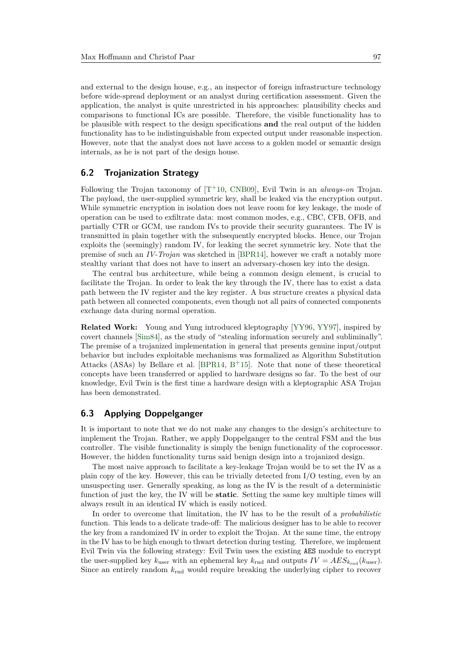and external to the design house, e.g., an inspector of foreign infrastructure technology before wide-spread deployment or an analyst during certification assessment. Given the application, the analyst is quite unrestricted in his approaches: plausibility checks and comparisons to functional ICs are possible. Therefore, the visible functionality has to be plausible with respect to the design specifications **and** the real output of the hidden functionality has to be indistinguishable from expected output under reasonable inspection. However, note that the analyst does not have access to a golden model or semantic design internals, as he is not part of the design house.

# **6.2 Trojanization Strategy**

Following the Trojan taxonomy of [T<sup>+</sup>[10,](#page-23-10) [CNB09\]](#page-21-8), Evil Twin is an *always-on* Trojan. The payload, the user-supplied symmetric key, shall be leaked via the encryption output. While symmetric encryption in isolation does not leave room for key leakage, the mode of operation can be used to exfiltrate data: most common modes, e.g., CBC, CFB, OFB, and partially CTR or GCM, use random IVs to provide their security guarantees. The IV is transmitted in plain together with the subsequently encrypted blocks. Hence, our Trojan exploits the (seemingly) random IV, for leaking the secret symmetric key. Note that the premise of such an *IV-Trojan* was sketched in [\[BPR14\]](#page-20-9), however we craft a notably more stealthy variant that does not have to insert an adversary-chosen key into the design.

The central bus architecture, while being a common design element, is crucial to facilitate the Trojan. In order to leak the key through the IV, there has to exist a data path between the IV register and the key register. A bus structure creates a physical data path between all connected components, even though not all pairs of connected components exchange data during normal operation.

**Related Work:** Young and Yung introduced kleptography [\[YY96,](#page-24-2) [YY97\]](#page-24-3), inspired by covert channels [\[Sim84\]](#page-23-11), as the study of "stealing information securely and subliminally". The premise of a trojanized implementation in general that presents genuine input/output behavior but includes exploitable mechanisms was formalized as Algorithm Substitution Attacks (ASAs) by Bellare et al. [\[BPR14,](#page-20-9) B <sup>+</sup>[15\]](#page-20-10). Note that none of these theoretical concepts have been transferred or applied to hardware designs so far. To the best of our knowledge, Evil Twin is the first time a hardware design with a kleptographic ASA Trojan has been demonstrated.

### **6.3 Applying Doppelganger**

It is important to note that we do not make any changes to the design's architecture to implement the Trojan. Rather, we apply Doppelganger to the central FSM and the bus controller. The visible functionality is simply the benign functionality of the coprocessor. However, the hidden functionality turns said benign design into a trojanized design.

The most naive approach to facilitate a key-leakage Trojan would be to set the IV as a plain copy of the key. However, this can be trivially detected from I/O testing, even by an unsuspecting user. Generally speaking, as long as the IV is the result of a deterministic function of just the key, the IV will be **static**. Setting the same key multiple times will always result in an identical IV which is easily noticed.

In order to overcome that limitation, the IV has to be the result of a *probabilistic* function. This leads to a delicate trade-off: The malicious designer has to be able to recover the key from a randomized IV in order to exploit the Trojan. At the same time, the entropy in the IV has to be high enough to thwart detection during testing. Therefore, we implement Evil Twin via the following strategy: Evil Twin uses the existing AES module to encrypt the user-supplied key  $k_{user}$  with an ephemeral key  $k_{rnd}$  and outputs  $IV = AES_{k_{rnd}}(k_{user})$ . Since an entirely random  $k_{\text{rnd}}$  would require breaking the underlying cipher to recover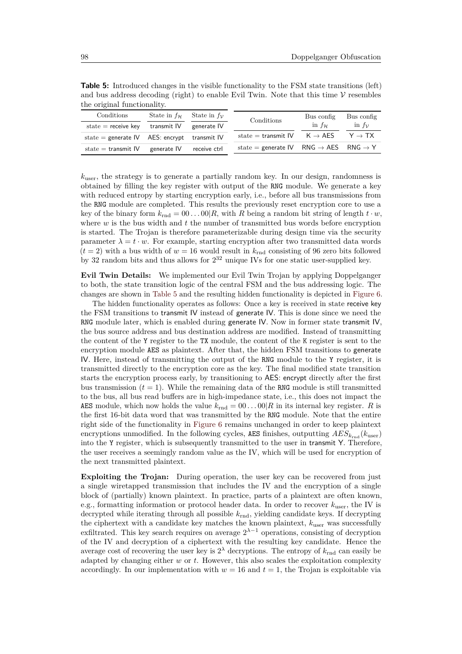<span id="page-16-0"></span>**Table 5:** Introduced changes in the visible functionality to the FSM state transitions (left) and bus address decoding (right) to enable Evil Twin. Note that this time  $\mathcal V$  resembles the original functionality.

| Conditions                                       | State in $f_{\mathcal{H}}$ State in $f_{\mathcal{V}}$ |              | Conditions                                                    | Bus config           | Bus config         |
|--------------------------------------------------|-------------------------------------------------------|--------------|---------------------------------------------------------------|----------------------|--------------------|
| $state = receive key$                            | transmit IV                                           | generate IV  |                                                               | in $f_{\mathcal{H}}$ | in $f_v$           |
| state = generate $IV$ AES: encrypt transmit $IV$ |                                                       |              | state = transmit $IV$ $K \rightarrow AES$                     |                      | $Y \rightarrow TX$ |
| state $=$ transmit IV                            | generate IV                                           | receive ctrl | state = generate IV RNG $\rightarrow$ AES RNG $\rightarrow$ Y |                      |                    |

 $k_{user}$ , the strategy is to generate a partially random key. In our design, randomness is obtained by filling the key register with output of the RNG module. We generate a key with reduced entropy by starting encryption early, i.e., before all bus transmissions from the RNG module are completed. This results the previously reset encryption core to use a key of the binary form  $k_{\text{rnd}} = 00 \dots 00 |R$ , with *R* being a random bit string of length  $t \cdot w$ , where *w* is the bus width and *t* the number of transmitted bus words before encryption is started. The Trojan is therefore parameterizable during design time via the security parameter  $\lambda = t \cdot w$ . For example, starting encryption after two transmitted data words  $(t = 2)$  with a bus width of  $w = 16$  would result in  $k_{\text{rnd}}$  consisting of 96 zero bits followed by 32 random bits and thus allows for  $2^{32}$  unique IVs for one static user-supplied key.

**Evil Twin Details:** We implemented our Evil Twin Trojan by applying Doppelganger to both, the state transition logic of the central FSM and the bus addressing logic. The changes are shown in [Table 5](#page-16-0) and the resulting hidden functionality is depicted in [Figure 6.](#page-17-0)

The hidden functionality operates as follows: Once a key is received in state receive key the FSM transitions to transmit IV instead of generate IV. This is done since we need the RNG module later, which is enabled during generate IV. Now in former state transmit IV, the bus source address and bus destination address are modified. Instead of transmitting the content of the Y register to the TX module, the content of the K register is sent to the encryption module AES as plaintext. After that, the hidden FSM transitions to generate IV. Here, instead of transmitting the output of the RNG module to the Y register, it is transmitted directly to the encryption core as the key. The final modified state transition starts the encryption process early, by transitioning to AES: encrypt directly after the first bus transmission  $(t = 1)$ . While the remaining data of the RNG module is still transmitted to the bus, all bus read buffers are in high-impedance state, i.e., this does not impact the AES module, which now holds the value  $k_{\text{rnd}} = 00 \dots 00 |R$  in its internal key register. *R* is the first 16-bit data word that was transmitted by the RNG module. Note that the entire right side of the functionality in [Figure 6](#page-17-0) remains unchanged in order to keep plaintext encryptions unmodified. In the following cycles, AES finishes, outputting  $AES_{k_{rnd}}(k_{user})$ into the Y register, which is subsequently transmitted to the user in transmit Y. Therefore, the user receives a seemingly random value as the IV, which will be used for encryption of the next transmitted plaintext.

**Exploiting the Trojan:** During operation, the user key can be recovered from just a single wiretapped transmission that includes the IV and the encryption of a single block of (partially) known plaintext. In practice, parts of a plaintext are often known, e.g., formatting information or protocol header data. In order to recover *k*user, the IV is decrypted while iterating through all possible *k*rnd, yielding candidate keys. If decrypting the ciphertext with a candidate key matches the known plaintext,  $k_{user}$  was successfully exfiltrated. This key search requires on average  $2^{\lambda-1}$  operations, consisting of decryption of the IV and decryption of a ciphertext with the resulting key candidate. Hence the average cost of recovering the user key is  $2^{\lambda}$  decryptions. The entropy of  $k_{\text{rnd}}$  can easily be adapted by changing either *w* or *t*. However, this also scales the exploitation complexity accordingly. In our implementation with  $w = 16$  and  $t = 1$ , the Trojan is exploitable via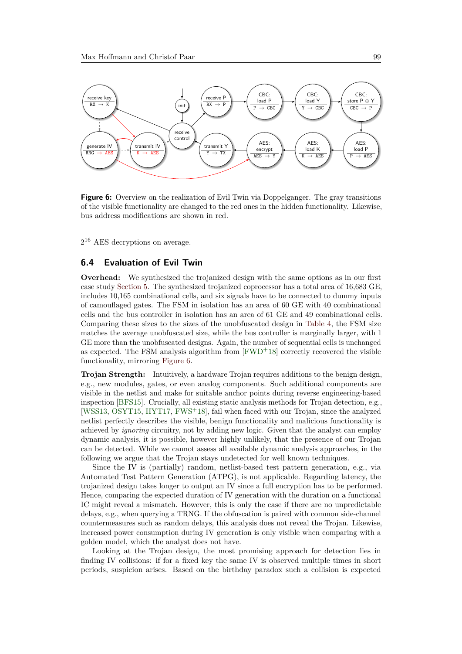<span id="page-17-0"></span>![](_page_17_Figure_1.jpeg)

**Figure 6:** Overview on the realization of Evil Twin via Doppelganger. The gray transitions of the visible functionality are changed to the red ones in the hidden functionality. Likewise, bus address modifications are shown in red.

2 <sup>16</sup> AES decryptions on average.

### **6.4 Evaluation of Evil Twin**

**Overhead:** We synthesized the trojanized design with the same options as in our first case study [Section 5.](#page-10-0) The synthesized trojanized coprocessor has a total area of 16,683 GE, includes 10,165 combinational cells, and six signals have to be connected to dummy inputs of camouflaged gates. The FSM in isolation has an area of 60 GE with 40 combinational cells and the bus controller in isolation has an area of 61 GE and 49 combinational cells. Comparing these sizes to the sizes of the unobfuscated design in [Table 4,](#page-12-0) the FSM size matches the average unobfuscated size, while the bus controller is marginally larger, with 1 GE more than the unobfuscated designs. Again, the number of sequential cells is unchanged as expected. The FSM analysis algorithm from  $[FWD<sup>+</sup>18]$  $[FWD<sup>+</sup>18]$  correctly recovered the visible functionality, mirroring [Figure 6.](#page-17-0)

**Trojan Strength:** Intuitively, a hardware Trojan requires additions to the benign design, e.g., new modules, gates, or even analog components. Such additional components are visible in the netlist and make for suitable anchor points during reverse engineering-based inspection [\[BFS15\]](#page-20-11). Crucially, all existing static analysis methods for Trojan detection, e.g., [\[WSS13,](#page-23-12) [OSYT15,](#page-22-13) [HYT17,](#page-21-9) [FWS](#page-21-2)<sup>+</sup>18], fail when faced with our Trojan, since the analyzed netlist perfectly describes the visible, benign functionality and malicious functionality is achieved by *ignoring* circuitry, not by adding new logic. Given that the analyst can employ dynamic analysis, it is possible, however highly unlikely, that the presence of our Trojan can be detected. While we cannot assess all available dynamic analysis approaches, in the following we argue that the Trojan stays undetected for well known techniques.

Since the IV is (partially) random, netlist-based test pattern generation, e.g., via Automated Test Pattern Generation (ATPG), is not applicable. Regarding latency, the trojanized design takes longer to output an IV since a full encryption has to be performed. Hence, comparing the expected duration of IV generation with the duration on a functional IC might reveal a mismatch. However, this is only the case if there are no unpredictable delays, e.g., when querying a TRNG. If the obfuscation is paired with common side-channel countermeasures such as random delays, this analysis does not reveal the Trojan. Likewise, increased power consumption during IV generation is only visible when comparing with a golden model, which the analyst does not have.

Looking at the Trojan design, the most promising approach for detection lies in finding IV collisions: if for a fixed key the same IV is observed multiple times in short periods, suspicion arises. Based on the birthday paradox such a collision is expected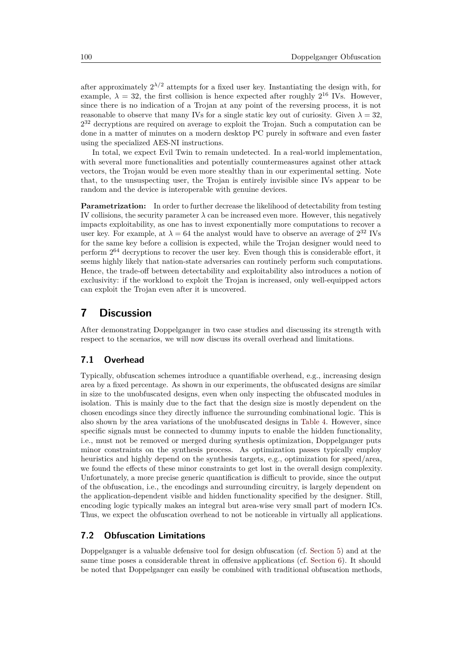after approximately  $2^{\lambda/2}$  attempts for a fixed user key. Instantiating the design with, for example,  $\lambda = 32$ , the first collision is hence expected after roughly  $2^{16}$  IVs. However, since there is no indication of a Trojan at any point of the reversing process, it is not reasonable to observe that many IVs for a single static key out of curiosity. Given  $\lambda = 32$ ,  $2^{32}$  decryptions are required on average to exploit the Trojan. Such a computation can be done in a matter of minutes on a modern desktop PC purely in software and even faster using the specialized AES-NI instructions.

In total, we expect Evil Twin to remain undetected. In a real-world implementation, with several more functionalities and potentially countermeasures against other attack vectors, the Trojan would be even more stealthy than in our experimental setting. Note that, to the unsuspecting user, the Trojan is entirely invisible since IVs appear to be random and the device is interoperable with genuine devices.

**Parametrization:** In order to further decrease the likelihood of detectability from testing IV collisions, the security parameter  $\lambda$  can be increased even more. However, this negatively impacts exploitability, as one has to invest exponentially more computations to recover a user key. For example, at  $\lambda = 64$  the analyst would have to observe an average of  $2^{32}$  IVs for the same key before a collision is expected, while the Trojan designer would need to perform 2 <sup>64</sup> decryptions to recover the user key. Even though this is considerable effort, it seems highly likely that nation-state adversaries can routinely perform such computations. Hence, the trade-off between detectability and exploitability also introduces a notion of exclusivity: if the workload to exploit the Trojan is increased, only well-equipped actors can exploit the Trojan even after it is uncovered.

# <span id="page-18-0"></span>**7 Discussion**

After demonstrating Doppelganger in two case studies and discussing its strength with respect to the scenarios, we will now discuss its overall overhead and limitations.

# **7.1 Overhead**

Typically, obfuscation schemes introduce a quantifiable overhead, e.g., increasing design area by a fixed percentage. As shown in our experiments, the obfuscated designs are similar in size to the unobfuscated designs, even when only inspecting the obfuscated modules in isolation. This is mainly due to the fact that the design size is mostly dependent on the chosen encodings since they directly influence the surrounding combinational logic. This is also shown by the area variations of the unobfuscated designs in [Table 4.](#page-12-0) However, since specific signals must be connected to dummy inputs to enable the hidden functionality, i.e., must not be removed or merged during synthesis optimization, Doppelganger puts minor constraints on the synthesis process. As optimization passes typically employ heuristics and highly depend on the synthesis targets, e.g., optimization for speed/area, we found the effects of these minor constraints to get lost in the overall design complexity. Unfortunately, a more precise generic quantification is difficult to provide, since the output of the obfuscation, i.e., the encodings and surrounding circuitry, is largely dependent on the application-dependent visible and hidden functionality specified by the designer. Still, encoding logic typically makes an integral but area-wise very small part of modern ICs. Thus, we expect the obfuscation overhead to not be noticeable in virtually all applications.

### **7.2 Obfuscation Limitations**

Doppelganger is a valuable defensive tool for design obfuscation (cf. [Section 5\)](#page-10-0) and at the same time poses a considerable threat in offensive applications (cf. [Section 6\)](#page-14-0). It should be noted that Doppelganger can easily be combined with traditional obfuscation methods,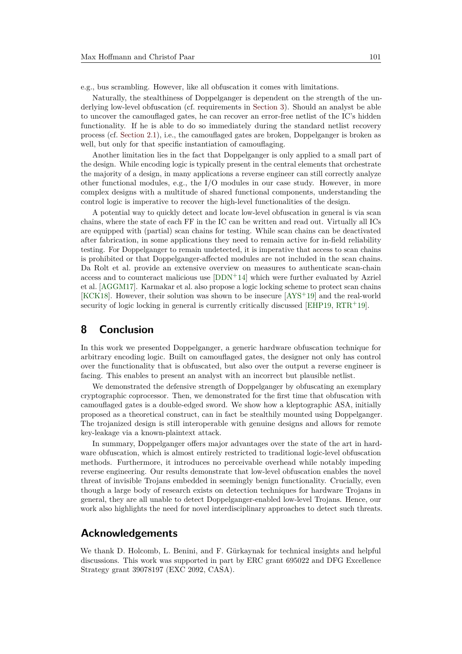e.g., bus scrambling. However, like all obfuscation it comes with limitations.

Naturally, the stealthiness of Doppelganger is dependent on the strength of the underlying low-level obfuscation (cf. requirements in [Section 3\)](#page-3-0). Should an analyst be able to uncover the camouflaged gates, he can recover an error-free netlist of the IC's hidden functionality. If he is able to do so immediately during the standard netlist recovery process (cf. [Section 2.1\)](#page-2-0), i.e., the camouflaged gates are broken, Doppelganger is broken as well, but only for that specific instantiation of camouflaging.

Another limitation lies in the fact that Doppelganger is only applied to a small part of the design. While encoding logic is typically present in the central elements that orchestrate the majority of a design, in many applications a reverse engineer can still correctly analyze other functional modules, e.g., the I/O modules in our case study. However, in more complex designs with a multitude of shared functional components, understanding the control logic is imperative to recover the high-level functionalities of the design.

A potential way to quickly detect and locate low-level obfuscation in general is via scan chains, where the state of each FF in the IC can be written and read out. Virtually all ICs are equipped with (partial) scan chains for testing. While scan chains can be deactivated after fabrication, in some applications they need to remain active for in-field reliability testing. For Doppelganger to remain undetected, it is imperative that access to scan chains is prohibited or that Doppelganger-affected modules are not included in the scan chains. Da Rolt et al. provide an extensive overview on measures to authenticate scan-chain access and to counteract malicious use [\[DDN](#page-21-10)<sup>+</sup>14] which were further evaluated by Azriel et al. [\[AGGM17\]](#page-20-12). Karmakar et al. also propose a logic locking scheme to protect scan chains [\[KCK18\]](#page-21-11). However, their solution was shown to be insecure [\[AYS](#page-20-13)<sup>+</sup>19] and the real-world security of logic locking in general is currently critically discussed [\[EHP19,](#page-21-12)  $RTR+19$  $RTR+19$ ].

# **8 Conclusion**

In this work we presented Doppelganger, a generic hardware obfuscation technique for arbitrary encoding logic. Built on camouflaged gates, the designer not only has control over the functionality that is obfuscated, but also over the output a reverse engineer is facing. This enables to present an analyst with an incorrect but plausible netlist.

We demonstrated the defensive strength of Doppelganger by obfuscating an exemplary cryptographic coprocessor. Then, we demonstrated for the first time that obfuscation with camouflaged gates is a double-edged sword. We show how a kleptographic ASA, initially proposed as a theoretical construct, can in fact be stealthily mounted using Doppelganger. The trojanized design is still interoperable with genuine designs and allows for remote key-leakage via a known-plaintext attack.

In summary, Doppelganger offers major advantages over the state of the art in hardware obfuscation, which is almost entirely restricted to traditional logic-level obfuscation methods. Furthermore, it introduces no perceivable overhead while notably impeding reverse engineering. Our results demonstrate that low-level obfuscation enables the novel threat of invisible Trojans embedded in seemingly benign functionality. Crucially, even though a large body of research exists on detection techniques for hardware Trojans in general, they are all unable to detect Doppelganger-enabled low-level Trojans. Hence, our work also highlights the need for novel interdisciplinary approaches to detect such threats.

# **Acknowledgements**

We thank D. Holcomb, L. Benini, and F. Gürkaynak for technical insights and helpful discussions. This work was supported in part by ERC grant 695022 and DFG Excellence Strategy grant 39078197 (EXC 2092, CASA).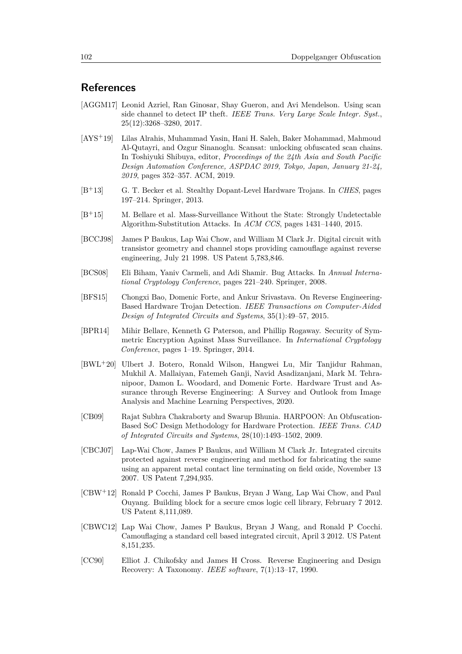# **References**

- <span id="page-20-12"></span>[AGGM17] Leonid Azriel, Ran Ginosar, Shay Gueron, and Avi Mendelson. Using scan side channel to detect IP theft. *IEEE Trans. Very Large Scale Integr. Syst.*, 25(12):3268–3280, 2017.
- <span id="page-20-13"></span>[AYS<sup>+</sup>19] Lilas Alrahis, Muhammad Yasin, Hani H. Saleh, Baker Mohammad, Mahmoud Al-Qutayri, and Ozgur Sinanoglu. Scansat: unlocking obfuscated scan chains. In Toshiyuki Shibuya, editor, *Proceedings of the 24th Asia and South Pacific Design Automation Conference, ASPDAC 2019, Tokyo, Japan, January 21-24, 2019*, pages 352–357. ACM, 2019.
- <span id="page-20-7"></span>[B<sup>+</sup>13] G. T. Becker et al. Stealthy Dopant-Level Hardware Trojans. In *CHES*, pages 197–214. Springer, 2013.
- <span id="page-20-10"></span>[B<sup>+</sup>15] M. Bellare et al. Mass-Surveillance Without the State: Strongly Undetectable Algorithm-Substitution Attacks. In *ACM CCS*, pages 1431–1440, 2015.
- <span id="page-20-0"></span>[BCCJ98] James P Baukus, Lap Wai Chow, and William M Clark Jr. Digital circuit with transistor geometry and channel stops providing camouflage against reverse engineering, July 21 1998. US Patent 5,783,846.
- <span id="page-20-8"></span>[BCS08] Eli Biham, Yaniv Carmeli, and Adi Shamir. Bug Attacks. In *Annual International Cryptology Conference*, pages 221–240. Springer, 2008.
- <span id="page-20-11"></span>[BFS15] Chongxi Bao, Domenic Forte, and Ankur Srivastava. On Reverse Engineering-Based Hardware Trojan Detection. *IEEE Transactions on Computer-Aided Design of Integrated Circuits and Systems*, 35(1):49–57, 2015.
- <span id="page-20-9"></span>[BPR14] Mihir Bellare, Kenneth G Paterson, and Phillip Rogaway. Security of Symmetric Encryption Against Mass Surveillance. In *International Cryptology Conference*, pages 1–19. Springer, 2014.
- <span id="page-20-5"></span>[BWL<sup>+</sup>20] Ulbert J. Botero, Ronald Wilson, Hangwei Lu, Mir Tanjidur Rahman, Mukhil A. Mallaiyan, Fatemeh Ganji, Navid Asadizanjani, Mark M. Tehranipoor, Damon L. Woodard, and Domenic Forte. Hardware Trust and Assurance through Reverse Engineering: A Survey and Outlook from Image Analysis and Machine Learning Perspectives, 2020.
- <span id="page-20-6"></span>[CB09] Rajat Subhra Chakraborty and Swarup Bhunia. HARPOON: An Obfuscation-Based SoC Design Methodology for Hardware Protection. *IEEE Trans. CAD of Integrated Circuits and Systems*, 28(10):1493–1502, 2009.
- <span id="page-20-1"></span>[CBCJ07] Lap-Wai Chow, James P Baukus, and William M Clark Jr. Integrated circuits protected against reverse engineering and method for fabricating the same using an apparent metal contact line terminating on field oxide, November 13 2007. US Patent 7,294,935.
- <span id="page-20-2"></span>[CBW<sup>+</sup>12] Ronald P Cocchi, James P Baukus, Bryan J Wang, Lap Wai Chow, and Paul Ouyang. Building block for a secure cmos logic cell library, February 7 2012. US Patent 8,111,089.
- <span id="page-20-3"></span>[CBWC12] Lap Wai Chow, James P Baukus, Bryan J Wang, and Ronald P Cocchi. Camouflaging a standard cell based integrated circuit, April 3 2012. US Patent 8,151,235.
- <span id="page-20-4"></span>[CC90] Elliot J. Chikofsky and James H Cross. Reverse Engineering and Design Recovery: A Taxonomy. *IEEE software*, 7(1):13–17, 1990.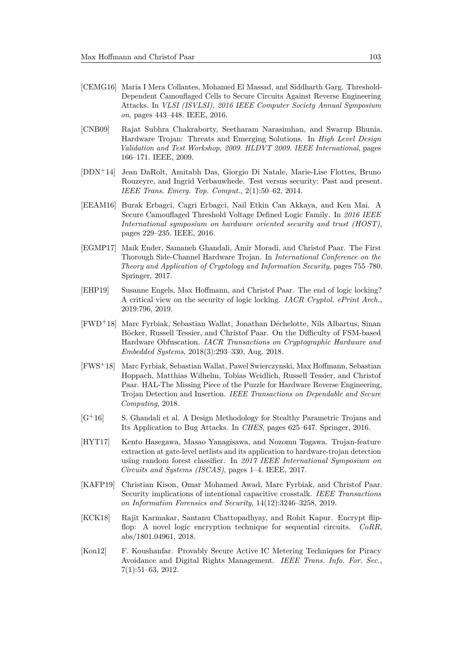- <span id="page-21-1"></span>[CEMG16] Maria I Mera Collantes, Mohamed El Massad, and Siddharth Garg. Threshold-Dependent Camouflaged Cells to Secure Circuits Against Reverse Engineering Attacks. In *VLSI (ISVLSI), 2016 IEEE Computer Society Annual Symposium on*, pages 443–448. IEEE, 2016.
- <span id="page-21-8"></span>[CNB09] Rajat Subhra Chakraborty, Seetharam Narasimhan, and Swarup Bhunia. Hardware Trojan: Threats and Emerging Solutions. In *High Level Design Validation and Test Workshop, 2009. HLDVT 2009. IEEE International*, pages 166–171. IEEE, 2009.
- <span id="page-21-10"></span>[DDN<sup>+</sup>14] Jean DaRolt, Amitabh Das, Giorgio Di Natale, Marie-Lise Flottes, Bruno Rouzeyre, and Ingrid Verbauwhede. Test versus security: Past and present. *IEEE Trans. Emerg. Top. Comput.*, 2(1):50–62, 2014.
- <span id="page-21-0"></span>[EEAM16] Burak Erbagci, Cagri Erbagci, Nail Etkin Can Akkaya, and Ken Mai. A Secure Camouflaged Threshold Voltage Defined Logic Family. In *2016 IEEE International symposium on hardware oriented security and trust (HOST)*, pages 229–235. IEEE, 2016.
- <span id="page-21-5"></span>[EGMP17] Maik Ender, Samaneh Ghandali, Amir Moradi, and Christof Paar. The First Thorough Side-Channel Hardware Trojan. In *International Conference on the Theory and Application of Cryptology and Information Security*, pages 755–780. Springer, 2017.
- <span id="page-21-12"></span>[EHP19] Susanne Engels, Max Hoffmann, and Christof Paar. The end of logic locking? A critical view on the security of logic locking. *IACR Cryptol. ePrint Arch.*, 2019:796, 2019.
- <span id="page-21-3"></span>[FWD<sup>+</sup>18] Marc Fyrbiak, Sebastian Wallat, Jonathan Déchelotte, Nils Albartus, Sinan Böcker, Russell Tessier, and Christof Paar. On the Difficulty of FSM-based Hardware Obfuscation. *IACR Transactions on Cryptographic Hardware and Embedded Systems*, 2018(3):293–330, Aug. 2018.
- <span id="page-21-2"></span>[FWS<sup>+</sup>18] Marc Fyrbiak, Sebastian Wallat, Pawel Swierczynski, Max Hoffmann, Sebastian Hoppach, Matthias Wilhelm, Tobias Weidlich, Russell Tessier, and Christof Paar. HAL-The Missing Piece of the Puzzle for Hardware Reverse Engineering, Trojan Detection and Insertion. *IEEE Transactions on Dependable and Secure Computing*, 2018.
- <span id="page-21-6"></span>[G<sup>+</sup>16] S. Ghandali et al. A Design Methodology for Stealthy Parametric Trojans and Its Application to Bug Attacks. In *CHES*, pages 625–647. Springer, 2016.
- <span id="page-21-9"></span>[HYT17] Kento Hasegawa, Masao Yanagisawa, and Nozomu Togawa. Trojan-feature extraction at gate-level netlists and its application to hardware-trojan detection using random forest classifier. In *2017 IEEE International Symposium on Circuits and Systems (ISCAS)*, pages 1–4. IEEE, 2017.
- <span id="page-21-7"></span>[KAFP19] Christian Kison, Omar Mohamed Awad, Marc Fyrbiak, and Christof Paar. Security implications of intentional capacitive crosstalk. *IEEE Transactions on Information Forensics and Security*, 14(12):3246–3258, 2019.
- <span id="page-21-11"></span>[KCK18] Rajit Karmakar, Santanu Chattopadhyay, and Rohit Kapur. Encrypt flipflop: A novel logic encryption technique for sequential circuits. *CoRR*, abs/1801.04961, 2018.
- <span id="page-21-4"></span>[Kou12] F. Koushanfar. Provably Secure Active IC Metering Techniques for Piracy Avoidance and Digital Rights Management. *IEEE Trans. Info. For. Sec.*, 7(1):51–63, 2012.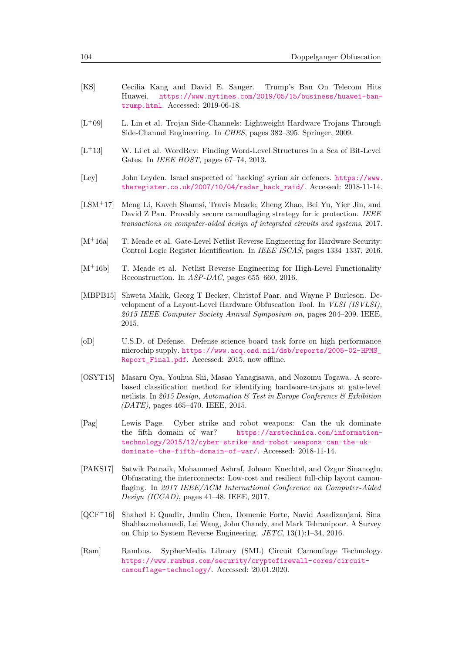<span id="page-22-13"></span><span id="page-22-12"></span><span id="page-22-11"></span><span id="page-22-10"></span><span id="page-22-9"></span><span id="page-22-8"></span><span id="page-22-7"></span><span id="page-22-6"></span><span id="page-22-5"></span><span id="page-22-4"></span><span id="page-22-3"></span><span id="page-22-2"></span><span id="page-22-1"></span><span id="page-22-0"></span>

| [KS]                | Cecilia Kang and David E. Sanger. Trump's Ban On Telecom Hits<br>https://www.nytimes.com/2019/05/15/business/huawei-ban-<br>Huawei.<br>trump.html. Accessed: 2019-06-18.                                                                                                      |
|---------------------|-------------------------------------------------------------------------------------------------------------------------------------------------------------------------------------------------------------------------------------------------------------------------------|
| $[L+09]$            | L. Lin et al. Trojan Side-Channels: Lightweight Hardware Trojans Through<br>Side-Channel Engineering. In CHES, pages 382-395. Springer, 2009.                                                                                                                                 |
| $[L+13]$            | W. Li et al. WordRev: Finding Word-Level Structures in a Sea of Bit-Level<br>Gates. In IEEE HOST, pages 67-74, 2013.                                                                                                                                                          |
| $[$ Ley             | John Leyden. Israel suspected of 'hacking' syrian air defences. https://www.<br>theregister.co.uk/2007/10/04/radar_hack_raid/. Accessed: 2018-11-14.                                                                                                                          |
| $[LSM+17]$          | Meng Li, Kaveh Shamsi, Travis Meade, Zheng Zhao, Bei Yu, Yier Jin, and<br>David Z Pan. Provably secure camouflaging strategy for ic protection. IEEE<br>transactions on computer-aided design of integrated circuits and systems, 2017.                                       |
| $[M^+16a]$          | T. Meade et al. Gate-Level Netlist Reverse Engineering for Hardware Security:<br>Control Logic Register Identification. In IEEE ISCAS, pages 1334-1337, 2016.                                                                                                                 |
| $[M+16b]$           | T. Meade et al. Netlist Reverse Engineering for High-Level Functionality<br>Reconstruction. In ASP-DAC, pages 655-660, 2016.                                                                                                                                                  |
| [MBPB15]            | Shweta Malik, Georg T Becker, Christof Paar, and Wayne P Burleson. De-<br>velopment of a Layout-Level Hardware Obfuscation Tool. In VLSI (ISVLSI),<br>2015 IEEE Computer Society Annual Symposium on, pages 204–209. IEEE,<br>2015.                                           |
| [oD]                | U.S.D. of Defense. Defense science board task force on high performance<br>microchip supply. https://www.acq.osd.mil/dsb/reports/2005-02-HPMS_<br>Report_Final.pdf. Accessed: 2015, now offline.                                                                              |
| [OSYT15]            | Masaru Oya, Youhua Shi, Masao Yanagisawa, and Nozomu Togawa. A score-<br>based classification method for identifying hardware-trojans at gate-level<br>netlists. In 2015 Design, Automation & Test in Europe Conference & Exhibition<br>$(DATE)$ , pages 465-470. IEEE, 2015. |
| $[{\rm Pag}]$       | Lewis Page.<br>Cyber strike and robot weapons:<br>Can the uk dominate<br>the fifth domain of war? https://arstechnica.com/information-<br>technology/2015/12/cyber-strike-and-robot-weapons-can-the-uk-<br>dominate-the-fifth-domain-of-war/. Accessed: 2018-11-14.           |
| [PAKS17]            | Satwik Patnaik, Mohammed Ashraf, Johann Knechtel, and Ozgur Sinanoglu.<br>Obfuscating the interconnects: Low-cost and resilient full-chip layout camou-<br>flaging. In 2017 IEEE/ACM International Conference on Computer-Aided<br>Design (ICCAD), pages 41-48. IEEE, 2017.   |
| $[QCF+16]$          | Shahed E Quadir, Junlin Chen, Domenic Forte, Navid Asadizanjani, Sina<br>Shahbazmohamadi, Lei Wang, John Chandy, and Mark Tehranipoor. A Survey<br>on Chip to System Reverse Engineering. $JETC$ , 13(1):1-34, 2016.                                                          |
| $\vert$ Ram $\vert$ | SypherMedia Library (SML) Circuit Camouflage Technology.<br>Rambus.<br>https://www.rambus.com/security/cryptofirewall-cores/circuit-<br>camouflage-technology/. Accessed: 20.01.2020.                                                                                         |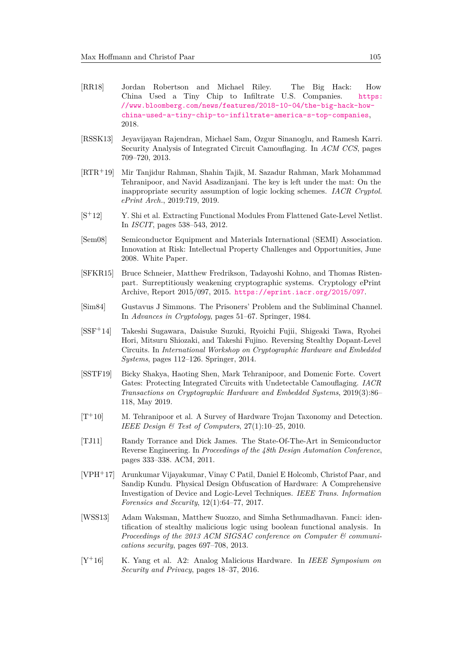- <span id="page-23-0"></span>[RR18] Jordan Robertson and Michael Riley. The Big Hack: How China Used a Tiny Chip to Infiltrate U.S. Companies. [https:](https://www.bloomberg.com/news/features/2018-10-04/the-big-hack-how-china-used-a-tiny-chip-to-infiltrate-america-s-top-companies) [//www.bloomberg.com/news/features/2018-10-04/the-big-hack-how](https://www.bloomberg.com/news/features/2018-10-04/the-big-hack-how-china-used-a-tiny-chip-to-infiltrate-america-s-top-companies)[china-used-a-tiny-chip-to-infiltrate-america-s-top-companies](https://www.bloomberg.com/news/features/2018-10-04/the-big-hack-how-china-used-a-tiny-chip-to-infiltrate-america-s-top-companies), 2018.
- <span id="page-23-2"></span>[RSSK13] Jeyavijayan Rajendran, Michael Sam, Ozgur Sinanoglu, and Ramesh Karri. Security Analysis of Integrated Circuit Camouflaging. In *ACM CCS*, pages 709–720, 2013.
- <span id="page-23-13"></span>[RTR<sup>+</sup>19] Mir Tanjidur Rahman, Shahin Tajik, M. Sazadur Rahman, Mark Mohammad Tehranipoor, and Navid Asadizanjani. The key is left under the mat: On the inappropriate security assumption of logic locking schemes. *IACR Cryptol. ePrint Arch.*, 2019:719, 2019.
- <span id="page-23-5"></span>[S<sup>+</sup>12] Y. Shi et al. Extracting Functional Modules From Flattened Gate-Level Netlist. In *ISCIT*, pages 538–543, 2012.
- <span id="page-23-1"></span>[Sem08] Semiconductor Equipment and Materials International (SEMI) Association. Innovation at Risk: Intellectual Property Challenges and Opportunities, June 2008. White Paper.
- <span id="page-23-8"></span>[SFKR15] Bruce Schneier, Matthew Fredrikson, Tadayoshi Kohno, and Thomas Ristenpart. Surreptitiously weakening cryptographic systems. Cryptology ePrint Archive, Report 2015/097, 2015. <https://eprint.iacr.org/2015/097>.
- <span id="page-23-11"></span>[Sim84] Gustavus J Simmons. The Prisoners' Problem and the Subliminal Channel. In *Advances in Cryptology*, pages 51–67. Springer, 1984.
- <span id="page-23-7"></span>[SSF<sup>+</sup>14] Takeshi Sugawara, Daisuke Suzuki, Ryoichi Fujii, Shigeaki Tawa, Ryohei Hori, Mitsuru Shiozaki, and Takeshi Fujino. Reversing Stealthy Dopant-Level Circuits. In *International Workshop on Cryptographic Hardware and Embedded Systems*, pages 112–126. Springer, 2014.
- <span id="page-23-3"></span>[SSTF19] Bicky Shakya, Haoting Shen, Mark Tehranipoor, and Domenic Forte. Covert Gates: Protecting Integrated Circuits with Undetectable Camouflaging. *IACR Transactions on Cryptographic Hardware and Embedded Systems*, 2019(3):86– 118, May 2019.
- <span id="page-23-10"></span> $[T+10]$  M. Tehranipoor et al. A Survey of Hardware Trojan Taxonomy and Detection. *IEEE Design & Test of Computers*, 27(1):10–25, 2010.
- <span id="page-23-4"></span>[TJ11] Randy Torrance and Dick James. The State-Of-The-Art in Semiconductor Reverse Engineering. In *Proceedings of the 48th Design Automation Conference*, pages 333–338. ACM, 2011.
- <span id="page-23-6"></span>[VPH<sup>+</sup>17] Arunkumar Vijayakumar, Vinay C Patil, Daniel E Holcomb, Christof Paar, and Sandip Kundu. Physical Design Obfuscation of Hardware: A Comprehensive Investigation of Device and Logic-Level Techniques. *IEEE Trans. Information Forensics and Security*, 12(1):64–77, 2017.
- <span id="page-23-12"></span>[WSS13] Adam Waksman, Matthew Suozzo, and Simha Sethumadhavan. Fanci: identification of stealthy malicious logic using boolean functional analysis. In *Proceedings of the 2013 ACM SIGSAC conference on Computer & communications security*, pages 697–708, 2013.
- <span id="page-23-9"></span>[Y<sup>+</sup>16] K. Yang et al. A2: Analog Malicious Hardware. In *IEEE Symposium on Security and Privacy*, pages 18–37, 2016.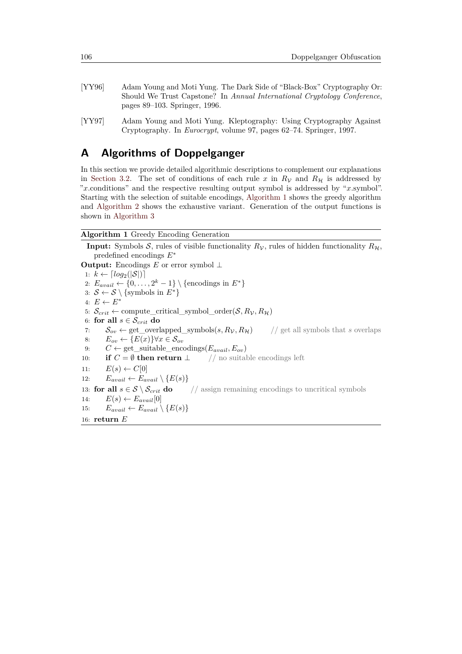- <span id="page-24-2"></span>[YY96] Adam Young and Moti Yung. The Dark Side of "Black-Box" Cryptography Or: Should We Trust Capstone? In *Annual International Cryptology Conference*, pages 89–103. Springer, 1996.
- <span id="page-24-3"></span>[YY97] Adam Young and Moti Yung. Kleptography: Using Cryptography Against Cryptography. In *Eurocrypt*, volume 97, pages 62–74. Springer, 1997.

# <span id="page-24-0"></span>**A Algorithms of Doppelganger**

In this section we provide detailed algorithmic descriptions to complement our explanations in [Section 3.2.](#page-5-4) The set of conditions of each rule x in  $R<sub>V</sub>$  and  $R<sub>H</sub>$  is addressed by "*x*.conditions" and the respective resulting output symbol is addressed by "*x*.symbol". Starting with the selection of suitable encodings, [Algorithm 1](#page-24-1) shows the greedy algorithm and [Algorithm 2](#page-25-0) shows the exhaustive variant. Generation of the output functions is shown in [Algorithm 3](#page-26-0)

### <span id="page-24-1"></span>**Algorithm 1** Greedy Encoding Generation

**Input:** Symbols S, rules of visible functionality  $R_V$ , rules of hidden functionality  $R_H$ , predefined encodings *E*<sup>∗</sup> **Output:** Encodings *E* or error symbol ⊥ 1:  $k \leftarrow \lceil log_2(|\mathcal{S}|) \rceil$ 2:  $E_{avail} \leftarrow \{0, \ldots, 2^k - 1\} \setminus \{\text{encodings in } E^*\}$ 3:  $S \leftarrow S \setminus \{\text{symbols in } E^*\}$ 4:  $E \leftarrow E^*$ 5:  $\mathcal{S}_{crit} \leftarrow$  compute\_critical\_symbol\_order( $\mathcal{S}, R_{\mathcal{V}}, R_{\mathcal{H}}$ ) 6: **for all**  $s \in \mathcal{S}_{crit}$  **do** 7:  $S_{ov} \leftarrow \text{get\_overlapped\_symbols}(s, R_V, R_H)$  // get all symbols that *s* overlaps 8:  $E_{ov}$  ← { $E(x)$ }∀ $x \in S_{ov}$ 9:  $C \leftarrow$  get suitable encodings( $E_{avail}, E_{ov}$ ) 10: **if**  $C = \emptyset$  **then return**  $\perp$  // no suitable encodings left 11:  $E(s) \leftarrow C[0]$ 12:  $E_{avail} \leftarrow E_{avail} \setminus \{E(s)\}$ 13: **for all**  $s \in S \setminus S_{crit}$  **do** // assign remaining encodings to uncritical symbols 14:  $E(s) \leftarrow E_{avail}[0]$ 15:  $E_{avail} \leftarrow E_{avail} \setminus \{E(s)\}$ 16: **return** *E*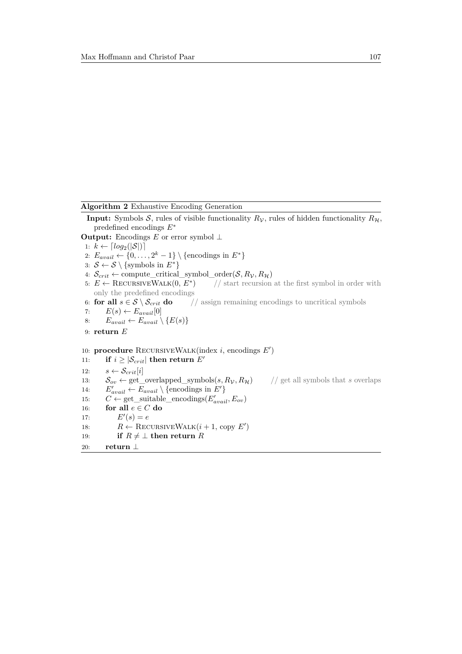```
Algorithm 2 Exhaustive Encoding Generation
```

```
Input: Symbols S, rules of visible functionality R<sub>V</sub>, rules of hidden functionality R<sub>H</sub>,
     predefined encodings E∗
Output: Encodings E or error symbol ⊥
 1: k \leftarrow \lceil log_2(|\mathcal{S}|) \rceil2: E_{avail} \leftarrow \{0, \ldots, 2^k - 1\} \setminus \{\text{encodings in } E^*\}3: S \leftarrow S \setminus {\text{symbols in } E^*}4: \mathcal{S}_{crit} \leftarrow compute_critical_symbol_order(\mathcal{S}, R_{\mathcal{V}}, R_{\mathcal{H}})
 5: E \leftarrow RECURSIVEWALK(0, E^*)) // start recursion at the first symbol in order with
     only the predefined encodings
 6: for all s \in S \setminus S_{crit} do // assign remaining encodings to uncritical symbols
 7: E(s) \leftarrow E_{avail}[0]8: E_{avail} \leftarrow E_{avail} \setminus \{E(s)\}9: return E
10: procedure RECURSIVEWALK(index i, encodings E')
11: if i \geq |\mathcal{S}_{crit}| then return E'12: s \leftarrow \mathcal{S}_{crit}[i]13: S_{ov} \leftarrow \text{get\_overlapped\_symbols}(s, R_V, R_H) // get all symbols that s overlaps
14: E'_{avail} \leftarrow E_{avail} \setminus \{\text{encodings in } E'\}15: C \leftarrow \text{get\_suitable\_encoding}(E'_{avail}, E_{ov})16: for all e \in C do
17: E'(s) = e18: R \leftarrow \text{RECURSIVEWALK}(i + 1, \text{ copy } E')19: if R \neq \perp then return R20: return ⊥
```